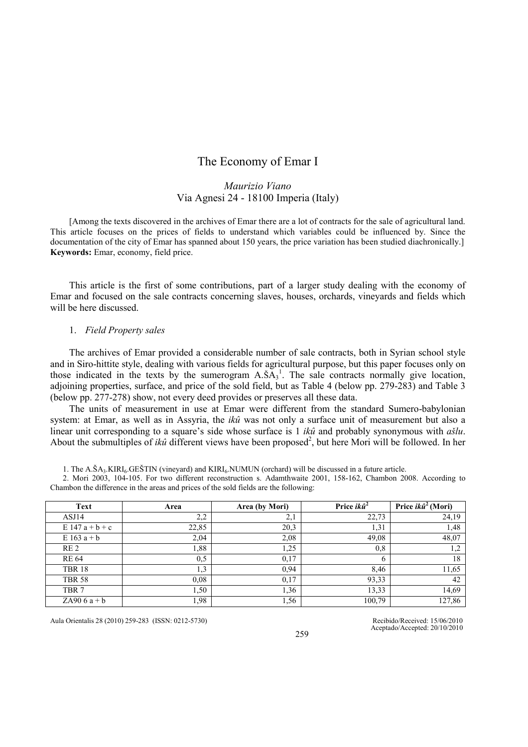# The Economy of Emar I

# Maurizio Viano Via Agnesi 24 - 18100 Imperia (Italy)

[Among the texts discovered in the archives of Emar there are a lot of contracts for the sale of agricultural land. This article focuses on the prices of fields to understand which variables could be influenced by. Since the documentation of the city of Emar has spanned about 150 years, the price variation has been studied diachronically.] Keywords: Emar, economy, field price.

This article is the first of some contributions, part of a larger study dealing with the economy of Emar and focused on the sale contracts concerning slaves, houses, orchards, vineyards and fields which will be here discussed.

### 1. Field Property sales

The archives of Emar provided a considerable number of sale contracts, both in Syrian school style and in Siro-hittite style, dealing with various fields for agricultural purpose, but this paper focuses only on those indicated in the texts by the sumerogram  $A.\overline{SA}_3^1$ . The sale contracts normally give location, adjoining properties, surface, and price of the sold field, but as Table 4 (below pp. 279-283) and Table 3 (below pp. 277-278) show, not every deed provides or preserves all these data.

The units of measurement in use at Emar were different from the standard Sumero-babylonian system: at Emar, as well as in Assyria, the *ikû* was not only a surface unit of measurement but also a linear unit corresponding to a square's side whose surface is 1 ikû and probably synonymous with  $a\bar{s}lu$ . About the submultiples of *ikû* different views have been proposed<sup>2</sup>, but here Mori will be followed. In her

1. The  $A.SA<sub>3</sub>.KIRI<sub>6</sub>GEŠTIN (vineyard) and KIRI<sub>6</sub> NUMUN (orchard) will be discussed in a future article.$ 

2. Mori 2003, 104-105. For two different reconstruction s. Adamthwaite 2001, 158-162, Chambon 2008. According to Chambon the difference in the areas and prices of the sold fields are the following:

| <b>Text</b>       | Area  | Area (by Mori) | Price $ik\hat{u}^2$ | Price $ik\hat{u}^2$ (Mori) |
|-------------------|-------|----------------|---------------------|----------------------------|
| ASJ14             | 2,2   | 2,1            | 22,73               | 24,19                      |
| $E 147 a + b + c$ | 22,85 | 20,3           | 1,31                | 1,48                       |
| $E 163 a + b$     | 2,04  | 2,08           | 49,08               | 48,07                      |
| RE <sub>2</sub>   | 1,88  | 1,25           | 0,8                 | 1,2                        |
| <b>RE 64</b>      | 0,5   | 0,17           | 6                   | 18                         |
| <b>TBR 18</b>     | 1,3   | 0,94           | 8.46                | 11,65                      |
| <b>TBR 58</b>     | 0.08  | 0,17           | 93,33               | 42                         |
| TBR <sub>7</sub>  | ,50   | 1,36           | 13,33               | 14,69                      |
| ZA $906a + b$     | 1,98  | 1,56           | 100,79              | 127,86                     |

Aula Orientalis 28 (2010) 259-283 (ISSN: 0212-5730) Recibido/Received: 15/06/2010

Aceptado/Accepted: 20/10/2010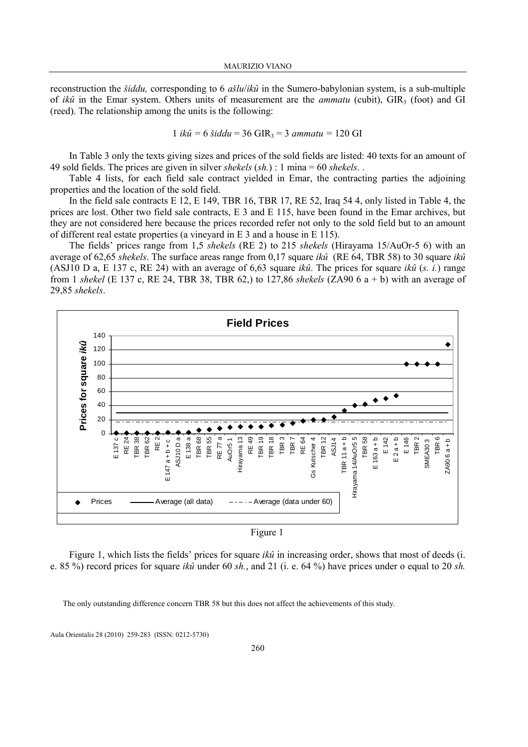reconstruction the *šiddu*, corresponding to 6  $a\ddot{s}lu/ik\hat{u}$  in the Sumero-babylonian system, is a sub-multiple of ikû in the Emar system. Others units of measurement are the *ammatu* (cubit),  $\text{GIR}_3$  (foot) and GI (reed). The relationship among the units is the following:

$$
1 i k\hat{u} = 6 \text{ šiddu} = 36 \text{ GIR}_3 = 3 \text{ ammatu} = 120 \text{ GI}
$$

In Table 3 only the texts giving sizes and prices of the sold fields are listed: 40 texts for an amount of 49 sold fields. The prices are given in silver *shekels*  $(sh.) : 1 \text{ mina} = 60 \text{ *sheels*}.$ 

Table 4 lists, for each field sale contract yielded in Emar, the contracting parties the adjoining properties and the location of the sold field.

In the field sale contracts E 12, E 149, TBR 16, TBR 17, RE 52, Iraq 54 4, only listed in Table 4, the prices are lost. Other two field sale contracts, E 3 and E 115, have been found in the Emar archives, but they are not considered here because the prices recorded refer not only to the sold field but to an amount of different real estate properties (a vineyard in E 3 and a house in E 115).

The fields' prices range from 1,5 shekels (RE 2) to 215 shekels (Hirayama 15/AuOr-5 6) with an average of 62,65 shekels. The surface areas range from 0,17 square  $ik\hat{u}$  (RE 64, TBR 58) to 30 square  $ik\hat{u}$ (ASJ10 D a, E 137 c, RE 24) with an average of 6,63 square *ikû*. The prices for square *ikû* (s. *i.*) range from 1 shekel (E 137 c, RE 24, TBR 38, TBR 62,) to 127,86 shekels (ZA90 6 a + b) with an average of 29,85 shekels.



Figure 1

Figure 1, which lists the fields' prices for square *ikû* in increasing order, shows that most of deeds (i. e. 85 %) record prices for square *ikû* under 60 sh., and 21 (i. e. 64 %) have prices under o equal to 20 sh.

The only outstanding difference concern TBR 58 but this does not affect the achievements of this study.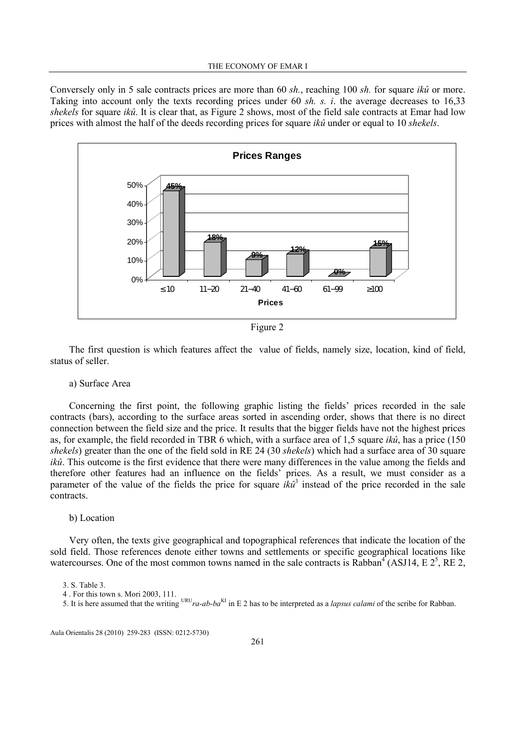Conversely only in 5 sale contracts prices are more than 60 sh., reaching 100 sh. for square ikû or more. Taking into account only the texts recording prices under 60 sh. s. i. the average decreases to 16,33 shekels for square ikû. It is clear that, as Figure 2 shows, most of the field sale contracts at Emar had low prices with almost the half of the deeds recording prices for square  $ik\hat{u}$  under or equal to 10 shekels.



Figure 2

The first question is which features affect the value of fields, namely size, location, kind of field, status of seller.

a) Surface Area

Concerning the first point, the following graphic listing the fields' prices recorded in the sale contracts (bars), according to the surface areas sorted in ascending order, shows that there is no direct connection between the field size and the price. It results that the bigger fields have not the highest prices as, for example, the field recorded in TBR 6 which, with a surface area of 1,5 square ikû, has a price (150 shekels) greater than the one of the field sold in RE 24 (30 shekels) which had a surface area of 30 square ikû. This outcome is the first evidence that there were many differences in the value among the fields and therefore other features had an influence on the fields' prices. As a result, we must consider as a parameter of the value of the fields the price for square  $ik\hat{u}^3$  instead of the price recorded in the sale contracts.

# b) Location

Very often, the texts give geographical and topographical references that indicate the location of the sold field. Those references denote either towns and settlements or specific geographical locations like watercourses. One of the most common towns named in the sale contracts is Rabban<sup>4</sup> (ASJ14, E  $2^5$ , RE 2,

5. It is here assumed that the writing  $URU_{ra}$ -ab-ba<sup>KI</sup> in E 2 has to be interpreted as a *lapsus calami* of the scribe for Rabban.

<sup>3.</sup> S. Table 3.

<sup>4 .</sup> For this town s. Mori 2003, 111.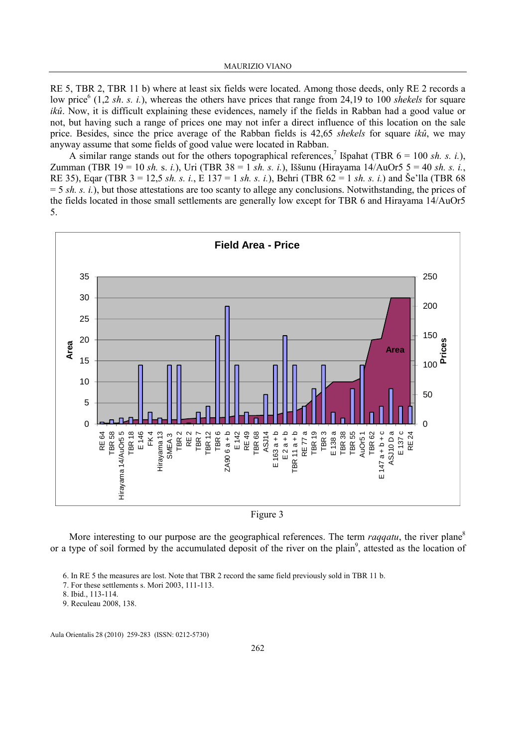RE 5, TBR 2, TBR 11 b) where at least six fields were located. Among those deeds, only RE 2 records a low price<sup>6</sup> (1,2 sh. s. i.), whereas the others have prices that range from 24,19 to 100 shekels for square ikû. Now, it is difficult explaining these evidences, namely if the fields in Rabban had a good value or not, but having such a range of prices one may not infer a direct influence of this location on the sale price. Besides, since the price average of the Rabban fields is 42,65 shekels for square ikû, we may anyway assume that some fields of good value were located in Rabban.

A similar range stands out for the others topographical references,<sup>7</sup> Išpahat (TBR  $6 = 100 \text{ sh. s. i.}$ ), Zumman (TBR 19 = 10 sh. s. i.), Uri (TBR 38 = 1 sh. s. i.), Iššunu (Hirayama 14/AuOr5 5 = 40 sh. s. i., RE 35), Eqar (TBR 3 = 12,5 sh. s. i., E 137 = 1 sh. s. i.), Behri (TBR 62 = 1 sh. s. i.) and Še'lla (TBR 68  $= 5 \, sh. \, s. \, i.$ ), but those attestations are too scanty to allege any conclusions. Notwithstanding, the prices of the fields located in those small settlements are generally low except for TBR 6 and Hirayama 14/AuOr5 5.





More interesting to our purpose are the geographical references. The term *raqqatu*, the river plane<sup>8</sup> or a type of soil formed by the accumulated deposit of the river on the plain<sup>9</sup>, attested as the location of

- 7. For these settlements s. Mori 2003, 111-113.
- 8. Ibid., 113-114.

9. Reculeau 2008, 138.

<sup>6.</sup> In RE 5 the measures are lost. Note that TBR 2 record the same field previously sold in TBR 11 b.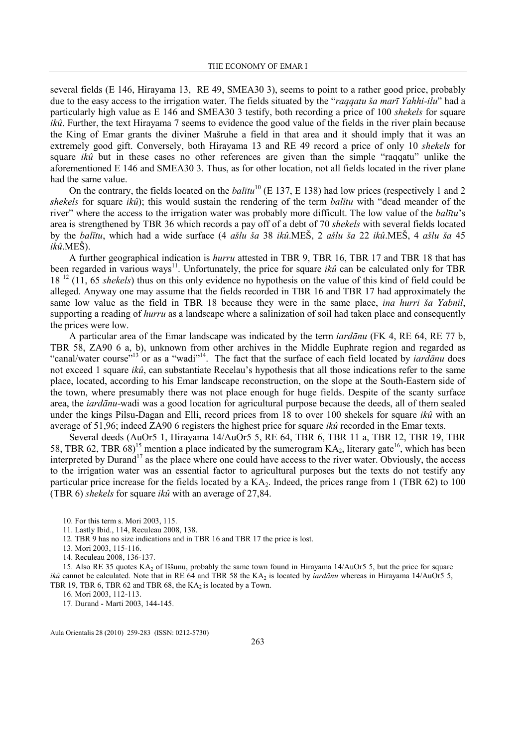several fields (E 146, Hirayama 13, RE 49, SMEA30 3), seems to point to a rather good price, probably due to the easy access to the irrigation water. The fields situated by the "raqqatu ša marī Yahhi-ilu" had a particularly high value as E 146 and SMEA30 3 testify, both recording a price of 100 shekels for square ikû. Further, the text Hirayama 7 seems to evidence the good value of the fields in the river plain because the King of Emar grants the diviner Mašruhe a field in that area and it should imply that it was an extremely good gift. Conversely, both Hirayama 13 and RE 49 record a price of only 10 shekels for square *ikû* but in these cases no other references are given than the simple "raqqatu" unlike the aforementioned E 146 and SMEA30 3. Thus, as for other location, not all fields located in the river plane had the same value.

On the contrary, the fields located on the *balītu*<sup>10</sup> (E 137, E 138) had low prices (respectively 1 and 2 shekels for square  $ik\hat{u}$ ); this would sustain the rendering of the term *balītu* with "dead meander of the river" where the access to the irrigation water was probably more difficult. The low value of the *balītu's* area is strengthened by TBR 36 which records a pay off of a debt of 70 shekels with several fields located by the balītu, which had a wide surface (4 ašlu ša 38 ikû.MEŠ, 2 ašlu ša 22 ikû.MEŠ, 4 ašlu ša 45  $ik\hat{u}$ .MEŠ).

A further geographical indication is hurru attested in TBR 9, TBR 16, TBR 17 and TBR 18 that has been regarded in various ways<sup>11</sup>. Unfortunately, the price for square *ikû* can be calculated only for TBR 18<sup>12</sup> (11, 65 *shekels*) thus on this only evidence no hypothesis on the value of this kind of field could be alleged. Anyway one may assume that the fields recorded in TBR 16 and TBR 17 had approximately the same low value as the field in TBR 18 because they were in the same place, *ina hurri ša Yabnil*, supporting a reading of *hurru* as a landscape where a salinization of soil had taken place and consequently the prices were low.

A particular area of the Emar landscape was indicated by the term iardānu (FK 4, RE 64, RE 77 b, TBR 58, ZA90 6 a, b), unknown from other archives in the Middle Euphrate region and regarded as "canal/water course"<sup>13</sup> or as a "wadi"<sup>14</sup>. The fact that the surface of each field located by *iardānu* does not exceed 1 square ikû, can substantiate Recelau's hypothesis that all those indications refer to the same place, located, according to his Emar landscape reconstruction, on the slope at the South-Eastern side of the town, where presumably there was not place enough for huge fields. Despite of the scanty surface area, the iardānu-wadi was a good location for agricultural purpose because the deeds, all of them sealed under the kings Pilsu-Dagan and Elli, record prices from 18 to over 100 shekels for square ikû with an average of 51,96; indeed ZA90 6 registers the highest price for square ikû recorded in the Emar texts.

Several deeds (AuOr5 1, Hirayama 14/AuOr5 5, RE 64, TBR 6, TBR 11 a, TBR 12, TBR 19, TBR 58, TBR 62, TBR 68)<sup>15</sup> mention a place indicated by the sumerogram  $KA_2$ , literary gate<sup>16</sup>, which has been interpreted by Durand<sup>17</sup> as the place where one could have access to the river water. Obviously, the access to the irrigation water was an essential factor to agricultural purposes but the texts do not testify any particular price increase for the fields located by a  $KA<sub>2</sub>$ . Indeed, the prices range from 1 (TBR 62) to 100 (TBR 6) shekels for square ikû with an average of 27,84.

16. Mori 2003, 112-113.

17. Durand - Marti 2003, 144-145.

<sup>10.</sup> For this term s. Mori 2003, 115.

<sup>11.</sup> Lastly Ibid., 114, Reculeau 2008, 138.

<sup>12.</sup> TBR 9 has no size indications and in TBR 16 and TBR 17 the price is lost.

<sup>13.</sup> Mori 2003, 115-116.

<sup>14.</sup> Reculeau 2008, 136-137.

<sup>15.</sup> Also RE 35 quotes  $KA<sub>2</sub>$  of Iššunu, probably the same town found in Hirayama 14/AuOr5 5, but the price for square *ikû* cannot be calculated. Note that in RE 64 and TBR 58 the KA<sub>2</sub> is located by *iardānu* whereas in Hirayama 14/AuOr5 5, TBR 19, TBR 6, TBR 62 and TBR 68, the  $KA<sub>2</sub>$  is located by a Town.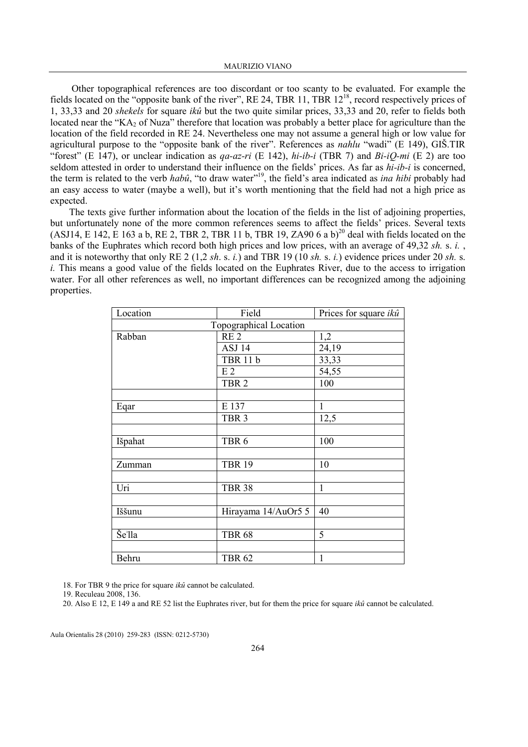Other topographical references are too discordant or too scanty to be evaluated. For example the fields located on the "opposite bank of the river", RE 24, TBR 11, TBR 12<sup>18</sup>, record respectively prices of 1, 33,33 and 20 shekels for square ikû but the two quite similar prices, 33,33 and 20, refer to fields both located near the "KA<sub>2</sub> of Nuza" therefore that location was probably a better place for agriculture than the location of the field recorded in RE 24. Nevertheless one may not assume a general high or low value for agricultural purpose to the "opposite bank of the river". References as *nahlu* "wadi" (E 149), GIŠ.TIR "forest" (E 147), or unclear indication as  $qa$ - $az$ -ri (E 142),  $hi$ - $ib$ - $i$  (TBR 7) and  $Bi$ - $iQ$ - $mi$  (E 2) are too seldom attested in order to understand their influence on the fields' prices. As far as  $hi-ib-i$  is concerned, the term is related to the verb habû, "to draw water"<sup>19</sup>, the field's area indicated as *ina hibi* probably had an easy access to water (maybe a well), but it's worth mentioning that the field had not a high price as expected.

The texts give further information about the location of the fields in the list of adjoining properties, but unfortunately none of the more common references seems to affect the fields' prices. Several texts (ASJ14, E 142, E 163 a b, RE 2, TBR 2, TBR 11 b, TBR 19, ZA90 6 a b)<sup>20</sup> deal with fields located on the banks of the Euphrates which record both high prices and low prices, with an average of 49,32 sh. s. i., and it is noteworthy that only RE 2 (1,2 sh. s. i.) and TBR 19 (10 sh. s. i.) evidence prices under 20 sh. s. i. This means a good value of the fields located on the Euphrates River, due to the access to irrigation water. For all other references as well, no important differences can be recognized among the adjoining properties.

| Location | Field                  | Prices for square <i>ikû</i> |
|----------|------------------------|------------------------------|
|          | Topographical Location |                              |
| Rabban   | RE <sub>2</sub>        | 1,2                          |
|          | ASJ 14                 | 24,19                        |
|          | <b>TBR 11 b</b>        | 33,33                        |
|          | E <sub>2</sub>         | 54,55                        |
|          | TBR <sub>2</sub>       | 100                          |
|          |                        |                              |
| Eqar     | E 137                  | 1                            |
|          | TBR <sub>3</sub>       | 12,5                         |
|          |                        |                              |
| Išpahat  | TBR <sub>6</sub>       | 100                          |
|          |                        |                              |
| Zumman   | <b>TBR 19</b>          | 10                           |
|          |                        |                              |
| Uri      | <b>TBR 38</b>          | $\mathbf{1}$                 |
|          |                        |                              |
| Iššunu   | Hirayama 14/AuOr5 5    | 40                           |
|          |                        |                              |
| Še'lla   | <b>TBR 68</b>          | 5                            |
|          |                        |                              |
| Behru    | <b>TBR 62</b>          | 1                            |

18. For TBR 9 the price for square ikû cannot be calculated.

19. Reculeau 2008, 136.

20. Also E 12, E 149 a and RE 52 list the Euphrates river, but for them the price for square  $ik\hat{u}$  cannot be calculated.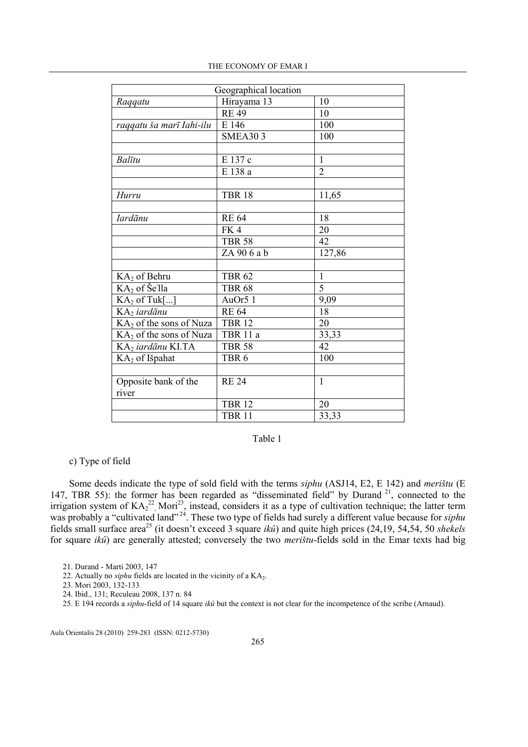|                               | Geographical location |                |
|-------------------------------|-----------------------|----------------|
| Raggatu                       | Hirayama 13           | 10             |
|                               | <b>RE49</b>           | 10             |
| raqqatu ša marī Iahi-ilu      | E 146                 | 100            |
|                               | <b>SMEA303</b>        | 100            |
|                               |                       |                |
| Balītu                        | E 137 c               | $\mathbf{1}$   |
|                               | E 138 a               | $\overline{2}$ |
|                               |                       |                |
| Hurru                         | <b>TBR 18</b>         | 11,65          |
|                               |                       |                |
| <b>Iardānu</b>                | <b>RE 64</b>          | 18             |
|                               | FK4                   | 20             |
|                               | <b>TBR 58</b>         | 42             |
|                               | ZA 906 a b            | 127,86         |
|                               |                       |                |
| KA2 of Behru                  | <b>TBR 62</b>         | 1              |
| $KA2$ of Se'lla               | <b>TBR 68</b>         | $\overline{5}$ |
| $KA2$ of Tuk[]                | AuOr5 1               | 9,09           |
| KA <sub>2</sub> iardānu       | <b>RE 64</b>          | 18             |
| $KA2$ of the sons of Nuza     | <b>TBR 12</b>         | 20             |
| $KA2$ of the sons of Nuza     | TBR 11 a              | 33,33          |
| KA <sub>2</sub> iardānu KI.TA | <b>TBR 58</b>         | 42             |
| KA2 of Išpahat                | TBR <sub>6</sub>      | 100            |
|                               |                       |                |
| Opposite bank of the          | <b>RE 24</b>          | $\mathbf{1}$   |
| river                         |                       |                |
|                               | <b>TBR 12</b>         | 20             |
|                               | <b>TBR 11</b>         | 33,33          |

Table 1

# c) Type of field

Some deeds indicate the type of sold field with the terms siphu (ASJ14, E2, E 142) and merištu (E 147, TBR 55): the former has been regarded as "disseminated field" by Durand<sup>21</sup>, connected to the irrigation system of  $KA_2^{22}$ , Mori<sup>23</sup>, instead, considers it as a type of cultivation technique; the latter term was probably a "cultivated land"<sup>24</sup>. These two type of fields had surely a different value because for *siphu* fields small surface area<sup>25</sup> (it doesn't exceed 3 square *ikû*) and quite high prices (24,19, 54,54, 50 shekels for square ikû) are generally attested; conversely the two merištu-fields sold in the Emar texts had big

- 21. Durand Marti 2003, 147
- 22. Actually no *siphu* fields are located in the vicinity of a  $KA<sub>2</sub>$ .
- 23. Mori 2003, 132-133
- 24. Ibid., 131; Reculeau 2008, 137 n. 84
- 25. E 194 records a *siphu*-field of 14 square *ikû* but the context is not clear for the incompetence of the scribe (Arnaud).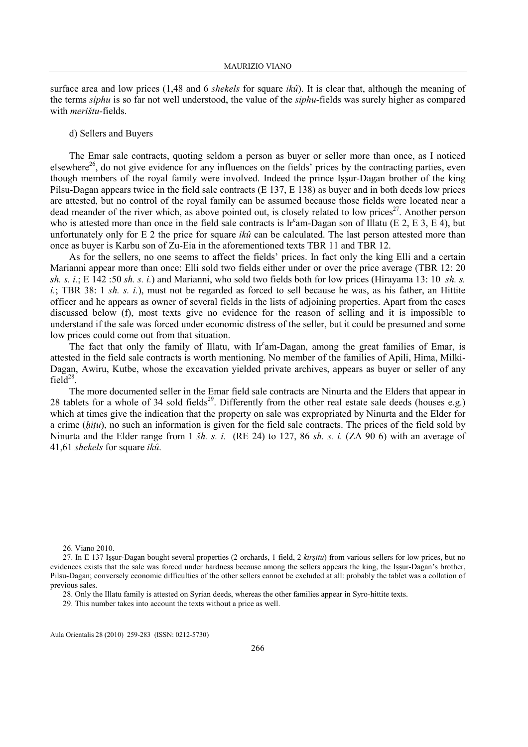surface area and low prices (1,48 and 6 shekels for square  $ik\hat{u}$ ). It is clear that, although the meaning of the terms *siphu* is so far not well understood, the value of the *siphu*-fields was surely higher as compared with merištu-fields.

## d) Sellers and Buyers

The Emar sale contracts, quoting seldom a person as buyer or seller more than once, as I noticed elsewhere<sup>26</sup>, do not give evidence for any influences on the fields' prices by the contracting parties, even though members of the royal family were involved. Indeed the prince Iṣṣur-Dagan brother of the king Pilsu-Dagan appears twice in the field sale contracts (E 137, E 138) as buyer and in both deeds low prices are attested, but no control of the royal family can be assumed because those fields were located near a dead meander of the river which, as above pointed out, is closely related to low prices<sup>27</sup>. Another person who is attested more than once in the field sale contracts is Ir<sup>c</sup>am-Dagan son of Illatu (E 2, E 3, E 4), but unfortunately only for E 2 the price for square *ikû* can be calculated. The last person attested more than once as buyer is Karbu son of Zu-Eia in the aforementioned texts TBR 11 and TBR 12.

As for the sellers, no one seems to affect the fields' prices. In fact only the king Elli and a certain Marianni appear more than once: Elli sold two fields either under or over the price average (TBR 12: 20 sh. s. i.; E 142:50 sh. s. i.) and Marianni, who sold two fields both for low prices (Hirayama 13: 10 sh. s. i.; TBR 38: 1 sh. s. i.), must not be regarded as forced to sell because he was, as his father, an Hittite officer and he appears as owner of several fields in the lists of adjoining properties. Apart from the cases discussed below (f), most texts give no evidence for the reason of selling and it is impossible to understand if the sale was forced under economic distress of the seller, but it could be presumed and some low prices could come out from that situation.

The fact that only the family of Illatu, with Ir<sup>c</sup>am-Dagan, among the great families of Emar, is attested in the field sale contracts is worth mentioning. No member of the families of Apili, Hima, Milki-Dagan, Awiru, Kutbe, whose the excavation yielded private archives, appears as buyer or seller of any field $^{28}$ .

The more documented seller in the Emar field sale contracts are Ninurta and the Elders that appear in 28 tablets for a whole of 34 sold fields<sup>29</sup>. Differently from the other real estate sale deeds (houses e.g.) which at times give the indication that the property on sale was expropriated by Ninurta and the Elder for a crime (hitu), no such an information is given for the field sale contracts. The prices of the field sold by Ninurta and the Elder range from 1 šh. s. i. (RE 24) to 127, 86 sh. s. i. (ZA 90 6) with an average of 41,61 shekels for square ikû.

26. Viano 2010.

<sup>27.</sup> In E 137 Issur-Dagan bought several properties (2 orchards, 1 field, 2 kirsitu) from various sellers for low prices, but no evidences exists that the sale was forced under hardness because among the sellers appears the king, the Iṣṣur-Dagan's brother, Pilsu-Dagan; conversely economic difficulties of the other sellers cannot be excluded at all: probably the tablet was a collation of previous sales.

<sup>28.</sup> Only the Illatu family is attested on Syrian deeds, whereas the other families appear in Syro-hittite texts.

<sup>29.</sup> This number takes into account the texts without a price as well.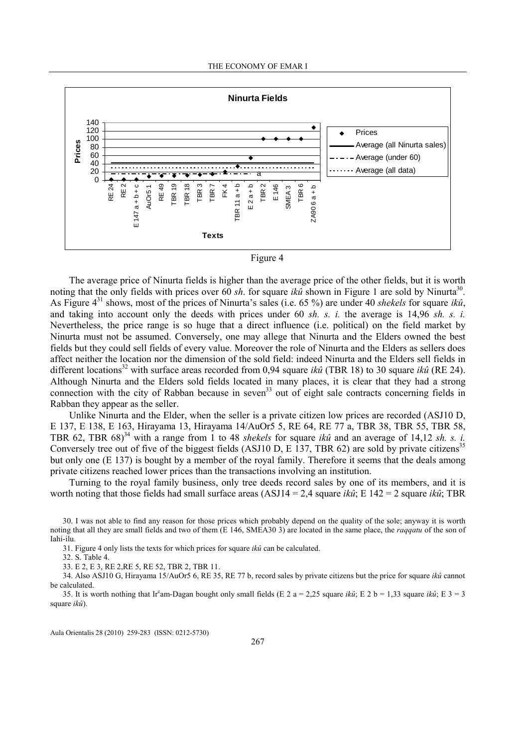



The average price of Ninurta fields is higher than the average price of the other fields, but it is worth noting that the only fields with prices over 60 sh. for square ikû shown in Figure 1 are sold by Ninurta<sup>30</sup>. As Figure  $4^{31}$  shows, most of the prices of Ninurta's sales (i.e. 65 %) are under 40 shekels for square ikû, and taking into account only the deeds with prices under 60 sh. s. i. the average is 14,96 sh. s. i. Nevertheless, the price range is so huge that a direct influence (i.e. political) on the field market by Ninurta must not be assumed. Conversely, one may allege that Ninurta and the Elders owned the best fields but they could sell fields of every value. Moreover the role of Ninurta and the Elders as sellers does affect neither the location nor the dimension of the sold field: indeed Ninurta and the Elders sell fields in different locations<sup>32</sup> with surface areas recorded from 0,94 square *ikû* (TBR 18) to 30 square *ikû* (RE 24). Although Ninurta and the Elders sold fields located in many places, it is clear that they had a strong connection with the city of Rabban because in seven<sup>33</sup> out of eight sale contracts concerning fields in Rabban they appear as the seller.

Unlike Ninurta and the Elder, when the seller is a private citizen low prices are recorded (ASJ10 D, E 137, E 138, E 163, Hirayama 13, Hirayama 14/AuOr5 5, RE 64, RE 77 a, TBR 38, TBR 55, TBR 58, TBR 62, TBR 68)<sup>34</sup> with a range from 1 to 48 shekels for square ikû and an average of 14,12 sh. s. i. Conversely tree out of five of the biggest fields (ASJ10 D, E 137, TBR 62) are sold by private citizens<sup>35</sup> but only one (E 137) is bought by a member of the royal family. Therefore it seems that the deals among private citizens reached lower prices than the transactions involving an institution.

Turning to the royal family business, only tree deeds record sales by one of its members, and it is worth noting that those fields had small surface areas (ASJ14 = 2.4 square *ikû*; E 142 = 2 square *ikû*; TBR

30. I was not able to find any reason for those prices which probably depend on the quality of the sole; anyway it is worth noting that all they are small fields and two of them (E 146, SMEA30 3) are located in the same place, the *raqqatu* of the son of Iahi-ilu.

31. Figure 4 only lists the texts for which prices for square ikû can be calculated.

32. S. Table 4.

33. E 2, E 3, RE 2,RE 5, RE 52, TBR 2, TBR 11.

34. Also ASJ10 G, Hirayama 15/AuOr5 6, RE 35, RE 77 b, record sales by private citizens but the price for square ikû cannot be calculated.

35. It is worth nothing that Ir<sup>c</sup>am-Dagan bought only small fields (E 2 a = 2,25 square *ikû*; E 2 b = 1,33 square *ikû*; E 3 = 3 square ikû).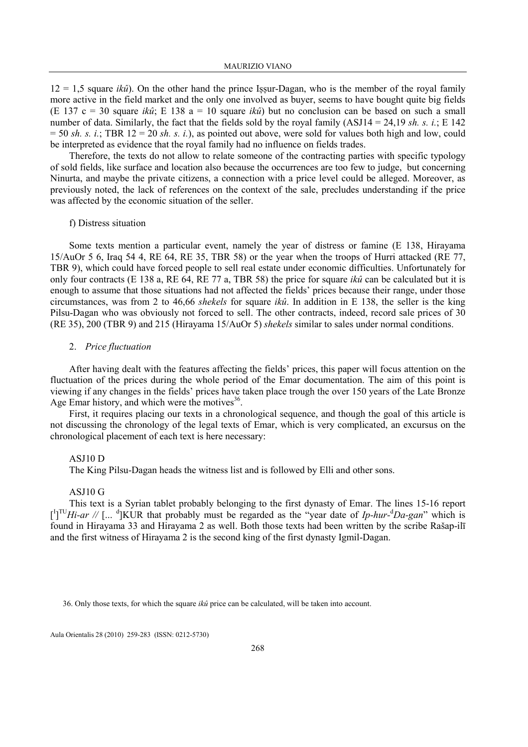$12 = 1.5$  square *ikû*). On the other hand the prince Issur-Dagan, who is the member of the royal family more active in the field market and the only one involved as buyer, seems to have bought quite big fields (E 137 c = 30 square *ikû*; E 138 a = 10 square *ikû*) but no conclusion can be based on such a small number of data. Similarly, the fact that the fields sold by the royal family (ASJ14 = 24,19 sh. s. i.; E 142  $= 50$  sh. s. i.; TBR 12 = 20 sh. s. i.), as pointed out above, were sold for values both high and low, could be interpreted as evidence that the royal family had no influence on fields trades.

Therefore, the texts do not allow to relate someone of the contracting parties with specific typology of sold fields, like surface and location also because the occurrences are too few to judge, but concerning Ninurta, and maybe the private citizens, a connection with a price level could be alleged. Moreover, as previously noted, the lack of references on the context of the sale, precludes understanding if the price was affected by the economic situation of the seller.

### f) Distress situation

Some texts mention a particular event, namely the year of distress or famine (E 138, Hirayama 15/AuOr 5 6, Iraq 54 4, RE 64, RE 35, TBR 58) or the year when the troops of Hurri attacked (RE 77, TBR 9), which could have forced people to sell real estate under economic difficulties. Unfortunately for only four contracts (E 138 a, RE 64, RE 77 a, TBR 58) the price for square *ikû* can be calculated but it is enough to assume that those situations had not affected the fields' prices because their range, under those circumstances, was from 2 to 46,66 shekels for square  $ik\hat{u}$ . In addition in E 138, the seller is the king Pilsu-Dagan who was obviously not forced to sell. The other contracts, indeed, record sale prices of 30 (RE 35), 200 (TBR 9) and 215 (Hirayama 15/AuOr 5) shekels similar to sales under normal conditions.

## 2. Price fluctuation

After having dealt with the features affecting the fields' prices, this paper will focus attention on the fluctuation of the prices during the whole period of the Emar documentation. The aim of this point is viewing if any changes in the fields' prices have taken place trough the over 150 years of the Late Bronze Age Emar history, and which were the motives<sup>36</sup>.

First, it requires placing our texts in a chronological sequence, and though the goal of this article is not discussing the chronology of the legal texts of Emar, which is very complicated, an excursus on the chronological placement of each text is here necessary:

#### ASJ10 D

The King Pilsu-Dagan heads the witness list and is followed by Elli and other sons.

#### ASJ10 G

This text is a Syrian tablet probably belonging to the first dynasty of Emar. The lines 15-16 report  $\binom{1}{1}$ <sup>TU</sup>Hi-ar // [... <sup>d</sup>]KUR that probably must be regarded as the "year date of Ip-hur-<sup>d</sup>Da-gan" which is found in Hirayama 33 and Hirayama 2 as well. Both those texts had been written by the scribe Rašap-ilī and the first witness of Hirayama 2 is the second king of the first dynasty Igmil-Dagan.

36. Only those texts, for which the square  $ik\hat{u}$  price can be calculated, will be taken into account.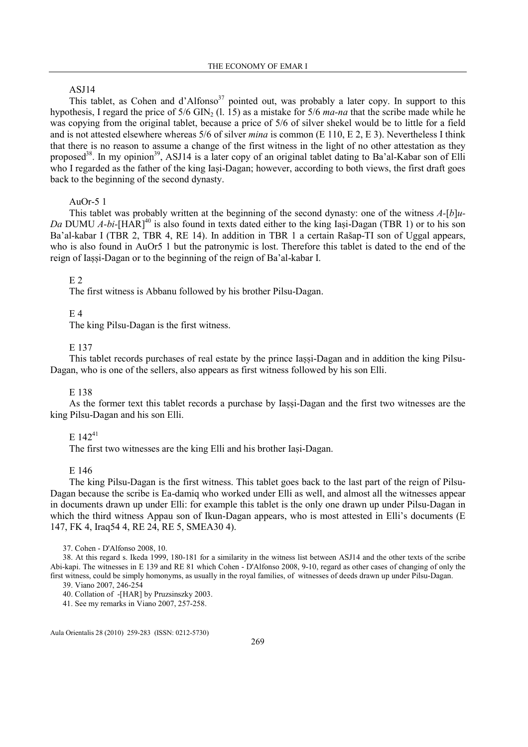# ASJ14

This tablet, as Cohen and d'Alfonso<sup>37</sup> pointed out, was probably a later copy. In support to this hypothesis, I regard the price of  $5/6$  GIN<sub>2</sub> (l. 15) as a mistake for  $5/6$  ma-na that the scribe made while he was copying from the original tablet, because a price of 5/6 of silver shekel would be to little for a field and is not attested elsewhere whereas 5/6 of silver *mina* is common (E 110, E 2, E 3). Nevertheless I think that there is no reason to assume a change of the first witness in the light of no other attestation as they proposed<sup>38</sup>. In my opinion<sup>39</sup>, ASJ14 is a later copy of an original tablet dating to Ba'al-Kabar son of Elli who I regarded as the father of the king Iași-Dagan; however, according to both views, the first draft goes back to the beginning of the second dynasty.

## Au $Or-5$  1

This tablet was probably written at the beginning of the second dynasty: one of the witness  $A-[b]u-$ Da DUMU A-bi- $[HAR]^{40}$  is also found in texts dated either to the king Iași-Dagan (TBR 1) or to his son Ba'al-kabar I (TBR 2, TBR 4, RE 14). In addition in TBR 1 a certain Rašap-TI son of Uggal appears, who is also found in AuOr5 1 but the patronymic is lost. Therefore this tablet is dated to the end of the reign of Iaṣṣi-Dagan or to the beginning of the reign of Ba'al-kabar I.

### E 2

The first witness is Abbanu followed by his brother Pilsu-Dagan.

### $E<sub>4</sub>$

The king Pilsu-Dagan is the first witness.

## E 137

This tablet records purchases of real estate by the prince Iaṣṣi-Dagan and in addition the king Pilsu-Dagan, who is one of the sellers, also appears as first witness followed by his son Elli.

### E 138

As the former text this tablet records a purchase by Iassi-Dagan and the first two witnesses are the king Pilsu-Dagan and his son Elli.

# $E$  142<sup>41</sup>

The first two witnesses are the king Elli and his brother Iaṣi-Dagan.

### E 146

The king Pilsu-Dagan is the first witness. This tablet goes back to the last part of the reign of Pilsu-Dagan because the scribe is Ea-damiq who worked under Elli as well, and almost all the witnesses appear in documents drawn up under Elli: for example this tablet is the only one drawn up under Pilsu-Dagan in which the third witness Appau son of Ikun-Dagan appears, who is most attested in Elli's documents (E 147, FK 4, Iraq54 4, RE 24, RE 5, SMEA30 4).

37. Cohen - D'Alfonso 2008, 10.

39. Viano 2007, 246-254

<sup>38.</sup> At this regard s. Ikeda 1999, 180-181 for a similarity in the witness list between ASJ14 and the other texts of the scribe Abi-kapi. The witnesses in E 139 and RE 81 which Cohen - D'Alfonso 2008, 9-10, regard as other cases of changing of only the first witness, could be simply homonyms, as usually in the royal families, of witnesses of deeds drawn up under Pilsu-Dagan.

<sup>40.</sup> Collation of -[HAR] by Pruzsinszky 2003.

<sup>41.</sup> See my remarks in Viano 2007, 257-258.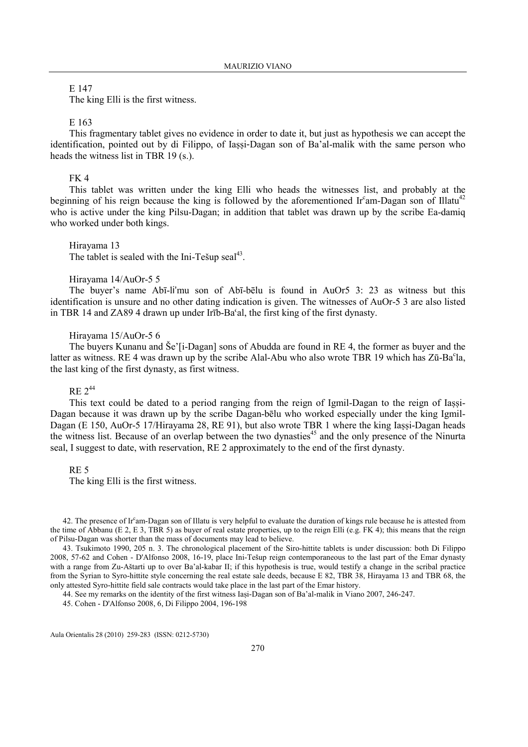E 147

The king Elli is the first witness.

### E 163

This fragmentary tablet gives no evidence in order to date it, but just as hypothesis we can accept the identification, pointed out by di Filippo, of Iassi-Dagan son of Ba'al-malik with the same person who heads the witness list in TBR 19 (s.).

#### FK 4

This tablet was written under the king Elli who heads the witnesses list, and probably at the beginning of his reign because the king is followed by the aforementioned Ir<sup>c</sup>am-Dagan son of Illatu<sup>42</sup> who is active under the king Pilsu-Dagan; in addition that tablet was drawn up by the scribe Ea-damiq who worked under both kings.

#### Hirayama 13

The tablet is sealed with the Ini-Tešup seal $^{43}$ .

# Hirayama 14/AuOr-5 5

The buyer's name Abī-li'mu son of Abī-bēlu is found in AuOr5 3: 23 as witness but this identification is unsure and no other dating indication is given. The witnesses of AuOr-5 3 are also listed in TBR 14 and ZA89 4 drawn up under Irīb-Ba'al, the first king of the first dynasty.

### Hirayama 15/AuOr-5 6

The buyers Kunanu and Še'[i-Dagan] sons of Abudda are found in RE 4, the former as buyer and the latter as witness. RE 4 was drawn up by the scribe Alal-Abu who also wrote TBR 19 which has Zū-Ba<sup>c</sup>la, the last king of the first dynasty, as first witness.

# $RE 2^{44}$

This text could be dated to a period ranging from the reign of Igmil-Dagan to the reign of Iassi-Dagan because it was drawn up by the scribe Dagan-bēlu who worked especially under the king Igmil-Dagan (E 150, AuOr-5 17/Hirayama 28, RE 91), but also wrote TBR 1 where the king Iassi-Dagan heads the witness list. Because of an overlap between the two dynasties<sup>45</sup> and the only presence of the Ninurta seal, I suggest to date, with reservation, RE 2 approximately to the end of the first dynasty.

## RE 5

The king Elli is the first witness.

42. The presence of Ir $\text{cm}$ -Dagan son of Illatu is very helpful to evaluate the duration of kings rule because he is attested from the time of Abbanu (E 2, E 3, TBR 5) as buyer of real estate properties, up to the reign Elli (e.g. FK 4); this means that the reign of Pilsu-Dagan was shorter than the mass of documents may lead to believe.

43. Tsukimoto 1990, 205 n. 3. The chronological placement of the Siro-hittite tablets is under discussion: both Di Filippo 2008, 57-62 and Cohen - D'Alfonso 2008, 16-19, place Ini-Tešup reign contemporaneous to the last part of the Emar dynasty with a range from Zu-Aštarti up to over Ba'al-kabar II; if this hypothesis is true, would testify a change in the scribal practice from the Syrian to Syro-hittite style concerning the real estate sale deeds, because E 82, TBR 38, Hirayama 13 and TBR 68, the only attested Syro-hittite field sale contracts would take place in the last part of the Emar history.

44. See my remarks on the identity of the first witness Iaṣi-Dagan son of Ba'al-malik in Viano 2007, 246-247.

45. Cohen - D'Alfonso 2008, 6, Di Filippo 2004, 196-198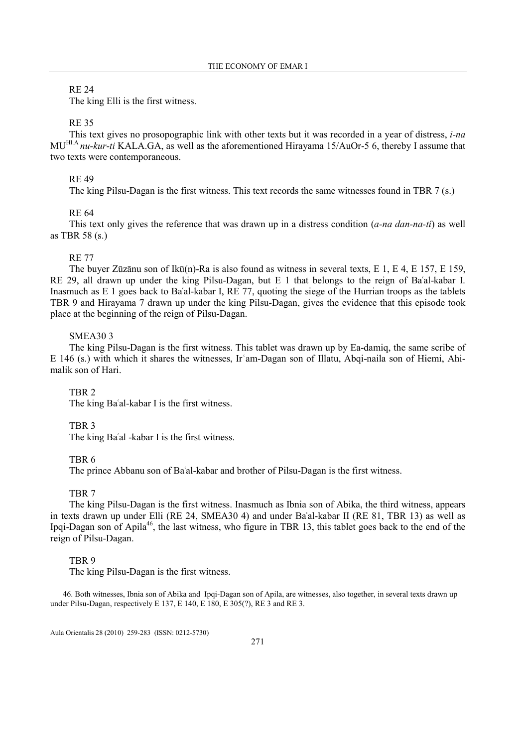# RE 24

The king Elli is the first witness.

### RE 35

This text gives no prosopographic link with other texts but it was recorded in a year of distress, *i-na* MU<sup>HI.A</sup> nu-kur-ti KALA.GA, as well as the aforementioned Hirayama 15/AuOr-5 6, thereby I assume that two texts were contemporaneous.

### RE 49

The king Pilsu-Dagan is the first witness. This text records the same witnesses found in TBR 7 (s.)

### RE 64

This text only gives the reference that was drawn up in a distress condition  $(a$ -na dan-na-ti) as well as TBR 58 (s.)

## RE 77

The buyer Zūzānu son of Ikū(n)-Ra is also found as witness in several texts, E 1, E 4, E 157, E 159, RE 29, all drawn up under the king Pilsu-Dagan, but E 1 that belongs to the reign of Baʿal-kabar I. Inasmuch as E 1 goes back to Baʿal-kabar I, RE 77, quoting the siege of the Hurrian troops as the tablets TBR 9 and Hirayama 7 drawn up under the king Pilsu-Dagan, gives the evidence that this episode took place at the beginning of the reign of Pilsu-Dagan.

### SMEA30 3

The king Pilsu-Dagan is the first witness. This tablet was drawn up by Ea-damiq, the same scribe of E 146 (s.) with which it shares the witnesses, Irʿam-Dagan son of Illatu, Abqi-naila son of Hiemi, Ahimalik son of Hari.

# TBR 2

The king Baʿal-kabar I is the first witness.

### TBR 3

The king Baʿal -kabar I is the first witness.

## TBR 6

The prince Abbanu son of Baʿal-kabar and brother of Pilsu-Dagan is the first witness.

### TBR 7

The king Pilsu-Dagan is the first witness. Inasmuch as Ibnia son of Abika, the third witness, appears in texts drawn up under Elli (RE 24, SMEA30 4) and under Baʿal-kabar II (RE 81, TBR 13) as well as Ipqi-Dagan son of Apila<sup>46</sup>, the last witness, who figure in TBR 13, this tablet goes back to the end of the reign of Pilsu-Dagan.

## TBR 9

The king Pilsu-Dagan is the first witness.

46. Both witnesses, Ibnia son of Abika and Ipqi-Dagan son of Apila, are witnesses, also together, in several texts drawn up under Pilsu-Dagan, respectively E 137, E 140, E 180, E 305(?), RE 3 and RE 3.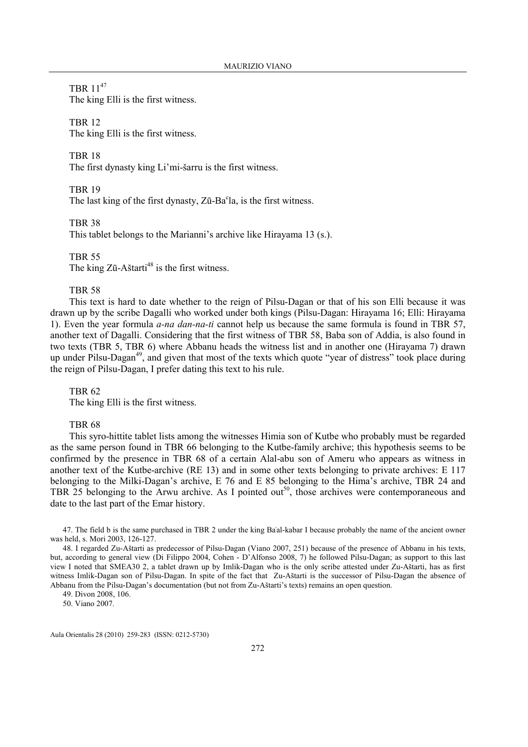TBR 11<sup>47</sup>

The king Elli is the first witness.

TBR 12

The king Elli is the first witness.

TBR 18

The first dynasty king Li'mi-šarru is the first witness.

TBR 19

The last king of the first dynasty, Zū-Ba°la, is the first witness.

TBR 38

This tablet belongs to the Marianni's archive like Hirayama 13 (s.).

TBR 55

The king  $Z\bar{u}$ -Aštarti<sup>48</sup> is the first witness.

## TBR 58

This text is hard to date whether to the reign of Pilsu-Dagan or that of his son Elli because it was drawn up by the scribe Dagalli who worked under both kings (Pilsu-Dagan: Hirayama 16; Elli: Hirayama 1). Even the year formula *a-na dan-na-ti* cannot help us because the same formula is found in TBR 57, another text of Dagalli. Considering that the first witness of TBR 58, Baba son of Addia, is also found in two texts (TBR 5, TBR 6) where Abbanu heads the witness list and in another one (Hirayama 7) drawn up under Pilsu-Dagan<sup>49</sup>, and given that most of the texts which quote "year of distress" took place during the reign of Pilsu-Dagan, I prefer dating this text to his rule.

TBR 62

The king Elli is the first witness.

## TBR 68

This syro-hittite tablet lists among the witnesses Himia son of Kutbe who probably must be regarded as the same person found in TBR 66 belonging to the Kutbe-family archive; this hypothesis seems to be confirmed by the presence in TBR 68 of a certain Alal-abu son of Ameru who appears as witness in another text of the Kutbe-archive (RE 13) and in some other texts belonging to private archives: E 117 belonging to the Milki-Dagan's archive, E 76 and E 85 belonging to the Hima's archive, TBR 24 and TBR 25 belonging to the Arwu archive. As I pointed out<sup>50</sup>, those archives were contemporaneous and date to the last part of the Emar history.

47. The field b is the same purchased in TBR 2 under the king Baʿal-kabar I because probably the name of the ancient owner was held, s. Mori 2003, 126-127.

48. I regarded Zu-Aštarti as predecessor of Pilsu-Dagan (Viano 2007, 251) because of the presence of Abbanu in his texts, but, according to general view (Di Filippo 2004, Cohen - D'Alfonso 2008, 7) he followed Pilsu-Dagan; as support to this last view I noted that SMEA30 2, a tablet drawn up by Imlik-Dagan who is the only scribe attested under Zu-Aštarti, has as first witness Imlik-Dagan son of Pilsu-Dagan. In spite of the fact that Zu-Aštarti is the successor of Pilsu-Dagan the absence of Abbanu from the Pilsu-Dagan's documentation (but not from Zu-Aštarti's texts) remains an open question.

49. Divon 2008, 106.

50. Viano 2007.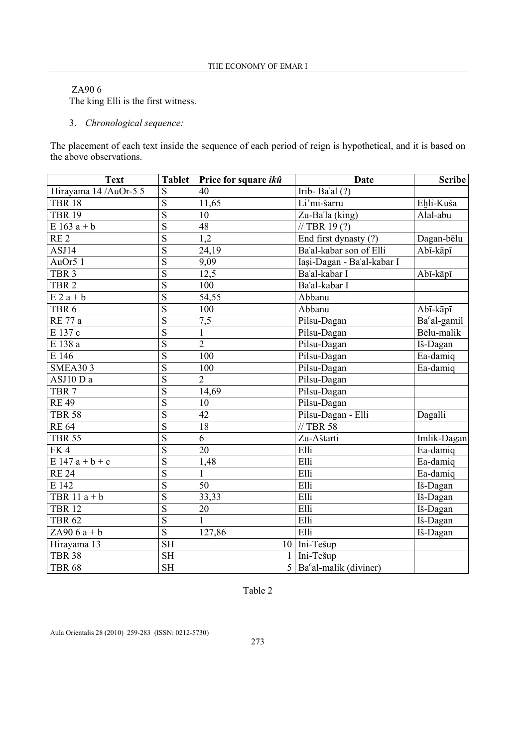# ZA90 6

The king Elli is the first witness.

3. Chronological sequence:

The placement of each text inside the sequence of each period of reign is hypothetical, and it is based on the above observations.

| <b>Text</b>            | <b>Tablet</b>           | Price for square ikû | <b>Date</b>                                       | <b>Scribe</b>                 |
|------------------------|-------------------------|----------------------|---------------------------------------------------|-------------------------------|
| Hirayama 14 / AuOr-5 5 | S                       | 40                   | Irib-Ba'al $(?)$                                  |                               |
| <b>TBR 18</b>          | $\overline{S}$          | 11,65                | Li'mi-šarru                                       | Ehli-Kuša                     |
| <b>TBR 19</b>          | $\overline{S}$          | 10                   | Zu-Ba'la (king)                                   | Alal-abu                      |
| E $163\overline{a+b}$  | $\overline{S}$          | 48                   | $\sqrt{7BR(19(?))}$                               |                               |
| RE <sub>2</sub>        | $\overline{S}$          | 1,2                  | End first dynasty (?)                             | Dagan-bēlu                    |
| ASJ14                  | $\overline{S}$          | 24,19                | Ba'al-kabar son of Elli                           | Abī-kāpī                      |
| AuOr5 1                | $\overline{S}$          | 9,09                 | Iasi-Dagan - Ba'al-kabar I                        |                               |
| TBR <sub>3</sub>       | $\overline{S}$          | 12,5                 | Ba'al-kabar I                                     | Abī-kāpī                      |
| TBR <sub>2</sub>       | $\overline{\mathbf{S}}$ | 100                  | Ba'al-kabar I                                     |                               |
| $E 2a + b$             | $\overline{S}$          | 54,55                | Abbanu                                            |                               |
| TBR <sub>6</sub>       | $\overline{S}$          | 100                  | Abbanu                                            | Abī-kāpī                      |
| <b>RE</b> 77 a         | $\overline{S}$          | $\overline{7,5}$     | Pilsu-Dagan                                       | Ba <sup>c</sup> al-gamil      |
| $\overline{E}$ 137 c   | $\overline{S}$          | $\mathbbm{1}$        | Pilsu-Dagan                                       | Bēlu-malik                    |
| E 138 a                | $\overline{\mathbf{S}}$ | $\overline{2}$       | Pilsu-Dagan                                       | Iš-Dagan                      |
| E 146                  | $\overline{S}$          | 100                  | Pilsu-Dagan                                       | Ea-damiq                      |
| <b>SMEA303</b>         | $\overline{S}$          | 100                  | Pilsu-Dagan                                       | Ea-damiq                      |
| ASJ10 D a              | $\overline{S}$          | $\overline{2}$       | Pilsu-Dagan                                       |                               |
| TBR <sub>7</sub>       | $\overline{S}$          | 14,69                | Pilsu-Dagan                                       |                               |
| $RE$ 49                | $\overline{S}$          | $\overline{10}$      | Pilsu-Dagan                                       |                               |
| <b>TBR 58</b>          | $\overline{S}$          | $\overline{42}$      | Pilsu-Dagan - Elli                                | Dagalli                       |
| <b>RE 64</b>           | $\overline{S}$          | 18                   | // TBR 58                                         |                               |
| <b>TBR 55</b>          | $\overline{S}$          | 6                    | Zu-Aštarti                                        | Imlik-Dagan                   |
| FK4                    | $\overline{S}$          | 20                   | Elli                                              | Ea-damiq                      |
| E 147 $a + b + c$      | $\overline{S}$          | 1,48                 | Elli                                              | $\overline{\text{E}}$ a-damiq |
| <b>RE 24</b>           | $\overline{S}$          | $\mathbf{1}$         | Elli                                              | Ea-damiq                      |
| E 142                  | $\overline{S}$          | $\overline{50}$      | Elli                                              | Iš-Dagan                      |
| TBR $11a + b$          | $\overline{S}$          | 33,33                | Elli                                              | Iš-Dagan                      |
| <b>TBR 12</b>          | $\overline{S}$          | 20                   | Elli                                              | Iš-Dagan                      |
| <b>TBR 62</b>          | $\overline{S}$          | $\mathbf{1}$         | Elli                                              | Iš-Dagan                      |
| ZA $906a + b$          | $\overline{S}$          | 127,86               | Elli                                              | Iš-Dagan                      |
| Hirayama 13            | $\overline{\text{SH}}$  |                      | 10 Ini-Tešup                                      |                               |
| <b>TBR 38</b>          | $\overline{\text{SH}}$  |                      | $\overline{1}$ Ini-Tešup                          |                               |
| <b>TBR 68</b>          | $\overline{\text{SH}}$  |                      | $\overline{5}$ Ba <sup>c</sup> al-malik (diviner) |                               |

Table 2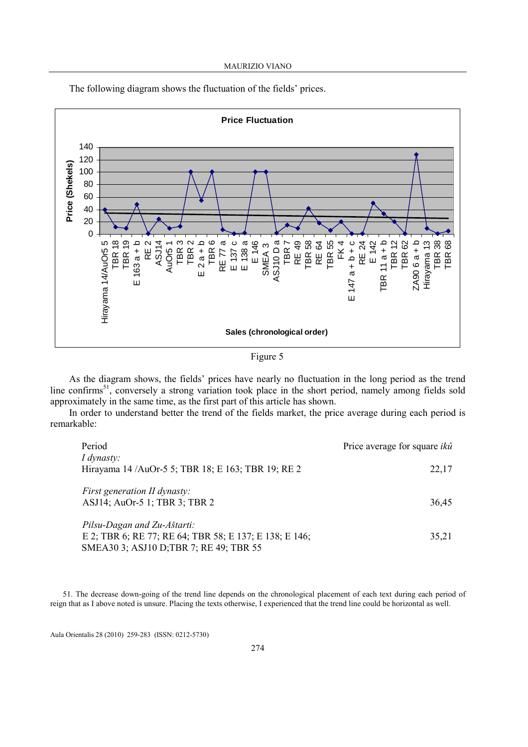

The following diagram shows the fluctuation of the fields' prices.

Figure 5

As the diagram shows, the fields' prices have nearly no fluctuation in the long period as the trend line confirms<sup>51</sup>, conversely a strong variation took place in the short period, namely among fields sold approximately in the same time, as the first part of this article has shown.

In order to understand better the trend of the fields market, the price average during each period is remarkable:

| Period                                                 | Price average for square $ik\hat{u}$ |
|--------------------------------------------------------|--------------------------------------|
| I dynasty:                                             |                                      |
| Hirayama 14 / AuOr-5 5; TBR 18; E 163; TBR 19; RE 2    | 22,17                                |
|                                                        |                                      |
| <i>First generation II dynasty:</i>                    |                                      |
| ASJ14; AuOr-5 1; TBR 3; TBR 2                          | 36,45                                |
|                                                        |                                      |
| Pilsu-Dagan and Zu-Aštarti:                            |                                      |
| E 2; TBR 6; RE 77; RE 64; TBR 58; E 137; E 138; E 146; | 35,21                                |
| SMEA30 3; ASJ10 D; TBR 7; RE 49; TBR 55                |                                      |

51. The decrease down-going of the trend line depends on the chronological placement of each text during each period of reign that as I above noted is unsure. Placing the texts otherwise, I experienced that the trend line could be horizontal as well.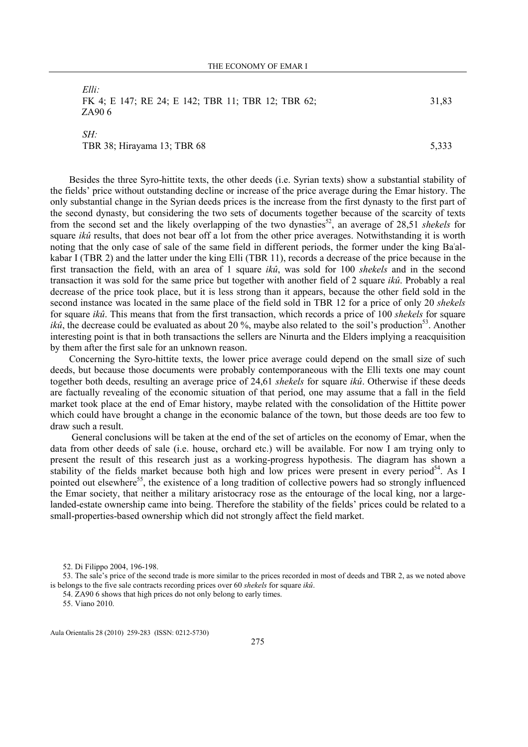| Elli<br>FK 4; E 147; RE 24; E 142; TBR 11; TBR 12; TBR 62;<br>ZA906 | 31,83 |
|---------------------------------------------------------------------|-------|
| SH:<br>TBR 38; Hirayama 13; TBR 68                                  | 5.333 |

Besides the three Syro-hittite texts, the other deeds (i.e. Syrian texts) show a substantial stability of the fields' price without outstanding decline or increase of the price average during the Emar history. The only substantial change in the Syrian deeds prices is the increase from the first dynasty to the first part of the second dynasty, but considering the two sets of documents together because of the scarcity of texts from the second set and the likely overlapping of the two dynasties<sup>52</sup>, an average of 28,51 shekels for square *ikû* results, that does not bear off a lot from the other price averages. Notwithstanding it is worth noting that the only case of sale of the same field in different periods, the former under the king Baʿalkabar I (TBR 2) and the latter under the king Elli (TBR 11), records a decrease of the price because in the first transaction the field, with an area of 1 square ikû, was sold for 100 shekels and in the second transaction it was sold for the same price but together with another field of 2 square *ikû*. Probably a real decrease of the price took place, but it is less strong than it appears, because the other field sold in the second instance was located in the same place of the field sold in TBR 12 for a price of only 20 shekels for square *ikû*. This means that from the first transaction, which records a price of 100 *shekels* for square *ikû*, the decrease could be evaluated as about 20 %, maybe also related to the soil's production<sup>53</sup>. Another interesting point is that in both transactions the sellers are Ninurta and the Elders implying a reacquisition by them after the first sale for an unknown reason.

Concerning the Syro-hittite texts, the lower price average could depend on the small size of such deeds, but because those documents were probably contemporaneous with the Elli texts one may count together both deeds, resulting an average price of 24,61 shekels for square ikû. Otherwise if these deeds are factually revealing of the economic situation of that period, one may assume that a fall in the field market took place at the end of Emar history, maybe related with the consolidation of the Hittite power which could have brought a change in the economic balance of the town, but those deeds are too few to draw such a result.

 General conclusions will be taken at the end of the set of articles on the economy of Emar, when the data from other deeds of sale (i.e. house, orchard etc.) will be available. For now I am trying only to present the result of this research just as a working-progress hypothesis. The diagram has shown a stability of the fields market because both high and low prices were present in every period<sup>54</sup>. As I pointed out elsewhere<sup>55</sup>, the existence of a long tradition of collective powers had so strongly influenced the Emar society, that neither a military aristocracy rose as the entourage of the local king, nor a largelanded-estate ownership came into being. Therefore the stability of the fields' prices could be related to a small-properties-based ownership which did not strongly affect the field market.

52. Di Filippo 2004, 196-198.

53. The sale's price of the second trade is more similar to the prices recorded in most of deeds and TBR 2, as we noted above is belongs to the five sale contracts recording prices over 60 shekels for square ikû.

54. ZA90 6 shows that high prices do not only belong to early times.

<sup>55.</sup> Viano 2010.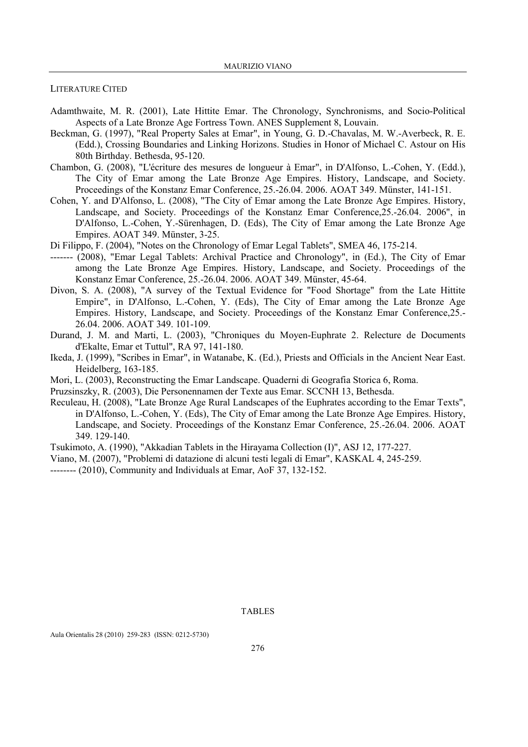### LITERATURE CITED

- Adamthwaite, M. R. (2001), Late Hittite Emar. The Chronology, Synchronisms, and Socio-Political Aspects of a Late Bronze Age Fortress Town. ANES Supplement 8, Louvain.
- Beckman, G. (1997), "Real Property Sales at Emar", in Young, G. D.-Chavalas, M. W.-Averbeck, R. E. (Edd.), Crossing Boundaries and Linking Horizons. Studies in Honor of Michael C. Astour on His 80th Birthday. Bethesda, 95-120.
- Chambon, G. (2008), "L'écriture des mesures de longueur à Emar", in D'Alfonso, L.-Cohen, Y. (Edd.), The City of Emar among the Late Bronze Age Empires. History, Landscape, and Society. Proceedings of the Konstanz Emar Conference, 25.-26.04. 2006. AOAT 349. Münster, 141-151.
- Cohen, Y. and D'Alfonso, L. (2008), "The City of Emar among the Late Bronze Age Empires. History, Landscape, and Society. Proceedings of the Konstanz Emar Conference,25.-26.04. 2006", in D'Alfonso, L.-Cohen, Y.-Sürenhagen, D. (Eds), The City of Emar among the Late Bronze Age Empires. AOAT 349. Münster, 3-25.
- Di Filippo, F. (2004), "Notes on the Chronology of Emar Legal Tablets", SMEA 46, 175-214.
- ------- (2008), "Emar Legal Tablets: Archival Practice and Chronology", in (Ed.), The City of Emar among the Late Bronze Age Empires. History, Landscape, and Society. Proceedings of the Konstanz Emar Conference, 25.-26.04. 2006. AOAT 349. Münster, 45-64.
- Divon, S. A. (2008), "A survey of the Textual Evidence for "Food Shortage" from the Late Hittite Empire", in D'Alfonso, L.-Cohen, Y. (Eds), The City of Emar among the Late Bronze Age Empires. History, Landscape, and Society. Proceedings of the Konstanz Emar Conference,25.- 26.04. 2006. AOAT 349. 101-109.
- Durand, J. M. and Marti, L. (2003), "Chroniques du Moyen-Euphrate 2. Relecture de Documents d'Ekalte, Emar et Tuttul", RA 97, 141-180.
- Ikeda, J. (1999), "Scribes in Emar", in Watanabe, K. (Ed.), Priests and Officials in the Ancient Near East. Heidelberg, 163-185.
- Mori, L. (2003), Reconstructing the Emar Landscape. Quaderni di Geografia Storica 6, Roma.
- Pruzsinszky, R. (2003), Die Personennamen der Texte aus Emar. SCCNH 13, Bethesda.
- Reculeau, H. (2008), "Late Bronze Age Rural Landscapes of the Euphrates according to the Emar Texts", in D'Alfonso, L.-Cohen, Y. (Eds), The City of Emar among the Late Bronze Age Empires. History, Landscape, and Society. Proceedings of the Konstanz Emar Conference, 25.-26.04. 2006. AOAT 349. 129-140.
- Tsukimoto, A. (1990), "Akkadian Tablets in the Hirayama Collection (I)", ASJ 12, 177-227.
- Viano, M. (2007), "Problemi di datazione di alcuni testi legali di Emar", KASKAL 4, 245-259.
- -------- (2010), Community and Individuals at Emar, AoF 37, 132-152.

## TABLES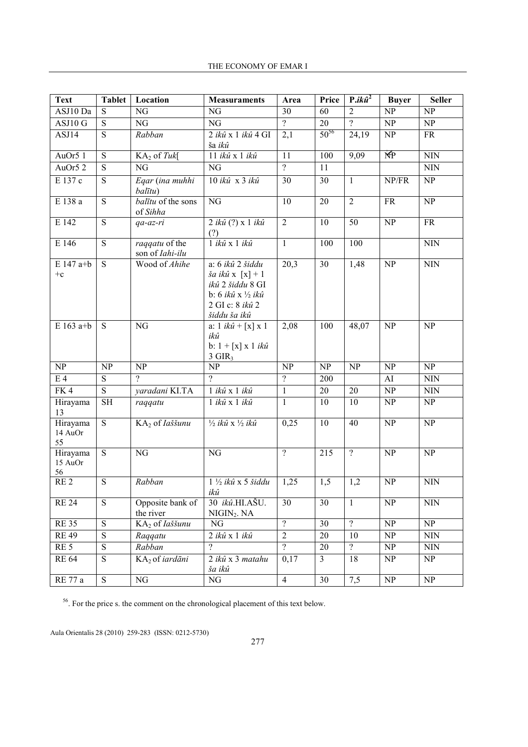| <b>Text</b>               | <b>Tablet</b>          | Location                          | <b>Measuraments</b>                                                                                                         | Area                   | Price                  | $P. i k \hat{u}^2$     | <b>Buyer</b>                    | <b>Seller</b>              |
|---------------------------|------------------------|-----------------------------------|-----------------------------------------------------------------------------------------------------------------------------|------------------------|------------------------|------------------------|---------------------------------|----------------------------|
| ASJ10 Da                  | S                      | NG                                | NG                                                                                                                          | 30                     | 60                     | $\overline{2}$         | NP                              | NP                         |
| ASJ10G                    | $\overline{S}$         | $\overline{\text{NG}}$            | $\overline{\text{NG}}$                                                                                                      | $\overline{?}$         | $\overline{20}$        | $\overline{?}$         | $\overline{\text{NP}}$          | $\overline{\text{NP}}$     |
| ASJ14                     | $\overline{S}$         | Rabban                            | 2 ikû x 1 ikû 4 GI<br>ša ikû                                                                                                | 2,1                    | $50^{56}$              | 24,19                  | $\ensuremath{\text{NP}}\xspace$ | <b>FR</b>                  |
| AuOr5 1                   | $\overline{S}$         | $KA2$ of Tuk[                     | 11 ikû x 1 ikû                                                                                                              | $\overline{11}$        | 100                    | 9,09                   | 还                               | $\overline{\text{NN}}$     |
| AuOr5 2                   | $\overline{S}$         | NG                                | NG                                                                                                                          | $\overline{?}$         | 11                     |                        |                                 | <b>NIN</b>                 |
| E 137 c                   | $\overline{S}$         | Eqar (ina muhhi<br>balītu)        | 10 ikû x 3 ikû                                                                                                              | $\overline{30}$        | 30                     | $\overline{1}$         | NP/FR                           | $\overline{\text{NP}}$     |
| E 138 a                   | $\overline{S}$         | balītu of the sons<br>of Sihha    | NG                                                                                                                          | $\overline{10}$        | $\overline{20}$        | $\overline{2}$         | $\overline{\text{FR}}$          | $\overline{\text{NP}}$     |
| E 142                     | $\overline{S}$         | qa-az-ri                          | $2 i k \hat{u}$ (?) x 1 $ik \hat{u}$<br>(?)                                                                                 | $\overline{2}$         | 10                     | 50                     | NP                              | $\overline{\text{FR}}$     |
| E 146                     | ${\bf S}$              | raqqatu of the<br>son of Iahi-ilu | $1$ ikû x $1$ ikû                                                                                                           | $\overline{1}$         | 100                    | 100                    |                                 | <b>NIN</b>                 |
| E 147 a+b<br>$+c$         | S                      | Wood of Ahihe                     | a: 6 ikû 2 šiddu<br>$\check{s}a$ ikû $x [x]+1$<br>ikû 2 šiddu 8 GI<br>b: 6 ikû x 1/2 ikû<br>2 GI c: 8 ikû 2<br>šiddu ša ikû | 20,3                   | 30                     | 1,48                   | NP                              | <b>NIN</b>                 |
| $E163$ a+b                | S                      | $\overline{\text{NG}}$            | a: $1 i k \hat{u} + [x] x 1$<br>ikû<br>b: $1 + [x] x 1 ik\hat{u}$<br>$3$ GIR <sub>3</sub>                                   | 2,08                   | 100                    | 48,07                  | $\overline{\text{NP}}$          | $\overline{\text{NP}}$     |
| $\overline{\text{NP}}$    | $\overline{\text{NP}}$ | $\overline{\text{NP}}$            | $\overline{\text{NP}}$                                                                                                      | $\overline{\text{NP}}$ | $\overline{\text{NP}}$ | $\overline{\text{NP}}$ | $\overline{\text{NP}}$          | $\overline{\text{NP}}$     |
| $E_4$                     | $\overline{S}$         | $\overline{2}$                    | $\overline{\mathcal{P}}$                                                                                                    | $\overline{?}$         | 200                    |                        | AI                              | <b>NIN</b>                 |
| FK4                       | $\overline{S}$         | yaradani KI.TA                    | 1 ikû x 1 ikû                                                                                                               | $\mathbf{1}$           | 20                     | 20                     | NP                              | $\mbox{N}\mbox{I}\mbox{N}$ |
| Hirayama<br>13            | <b>SH</b>              | raqqatu                           | 1 ikû x 1 ikû                                                                                                               | $\mathbf{1}$           | 10                     | 10                     | NP                              | NP                         |
| Hirayama<br>14 AuOr<br>55 | $\overline{S}$         | KA <sub>2</sub> of <i>Iaššunu</i> | $\frac{1}{2}$ ikû x $\frac{1}{2}$ ikû                                                                                       | 0,25                   | 10                     | 40                     | NP                              | $\overline{\text{NP}}$     |
| Hirayama<br>15 AuOr<br>56 | $\overline{S}$         | $\overline{\text{NG}}$            | NG                                                                                                                          | $\overline{?}$         | $\overline{215}$       | $\overline{?}$         | $\overline{\text{NP}}$          | $\overline{\text{NP}}$     |
| RE <sub>2</sub>           | $\overline{S}$         | Rabban                            | $1\frac{1}{2}$ ikû x 5 šiddu<br>ikû                                                                                         | 1,25                   | 1,5                    | 1,2                    | $\overline{\text{NP}}$          | NIN                        |
| <b>RE 24</b>              | ${\bf S}$              | Opposite bank of<br>the river     | 30 ikû.HI.AŠU.<br>NIGIN <sub>2</sub> . NA                                                                                   | 30                     | 30                     | $\mathbf{1}$           | NP                              | <b>NIN</b>                 |
| <b>RE35</b>               | $\overline{S}$         | KA2 of Iaššunu                    | NG                                                                                                                          | $\overline{?}$         | 30                     | $\overline{?}$         | $\ensuremath{\text{NP}}\xspace$ | NP                         |
| <b>RE49</b>               | ${\bf S}$              | Raqqatu                           | 2 ikû x 1 ikû                                                                                                               | $\sqrt{2}$             | 20                     | 10                     | NP                              | <b>NIN</b>                 |
| RE <sub>5</sub>           | S                      | Rabban                            | $\overline{?}$                                                                                                              | $\overline{?}$         | 20                     | $\overline{?}$         | NP                              | <b>NIN</b>                 |
| <b>RE 64</b>              | $\overline{S}$         | KA2 of iardāni                    | 2 ikû x 3 matahu<br>ša ikû                                                                                                  | 0,17                   | $\overline{3}$         | 18                     | NP                              | NP                         |
| RE 77 a                   | $\overline{S}$         | NG                                | $\rm NG$                                                                                                                    | $\overline{4}$         | $\overline{30}$        | 7,5                    | $\overline{\text{NP}}$          | NP                         |

<sup>56</sup>. For the price s. the comment on the chronological placement of this text below.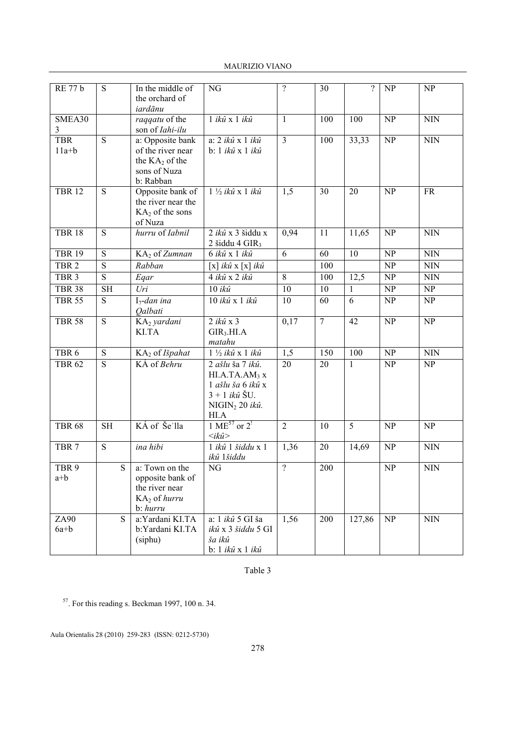| <b>MAURIZIO VIANO</b> |  |
|-----------------------|--|
|-----------------------|--|

| <b>RE 77 b</b>            | S              | In the middle of<br>the orchard of<br>iardānu                                          | NG                                                                                                                         | $\overline{?}$  | 30             | $\overline{?}$  | NP                     | NP                          |
|---------------------------|----------------|----------------------------------------------------------------------------------------|----------------------------------------------------------------------------------------------------------------------------|-----------------|----------------|-----------------|------------------------|-----------------------------|
| SMEA30<br>3               |                | raqqatu of the<br>son of Iahi-ilu                                                      | $1$ ikû $x$ $1$ ikû                                                                                                        | $\mathbf{1}$    | 100            | 100             | $\overline{\text{NP}}$ | $\mbox{N}\mbox{I}\mbox{N}$  |
| <b>TBR</b><br>$11a+b$     | $\overline{S}$ | a: Opposite bank<br>of the river near<br>the $KA2$ of the<br>sons of Nuza<br>b: Rabban | a: 2 ikû x 1 ikû<br>b: 1 ikû x 1 ikû                                                                                       | $\overline{3}$  | 100            | 33,33           | NP                     | <b>NIN</b>                  |
| <b>TBR 12</b>             | $\overline{S}$ | Opposite bank of<br>the river near the<br>$KA2$ of the sons<br>of Nuza                 | 1 1/2 ikû x 1 ikû                                                                                                          | 1,5             | 30             | $\overline{20}$ | NP                     | FR                          |
| <b>TBR 18</b>             | $\overline{S}$ | hurru of Iabnil                                                                        | 2 ikû x 3 šiddu x<br>2 šiddu 4 $\text{GIR}_3$                                                                              | 0,94            | 11             | 11,65           | NP                     | <b>NIN</b>                  |
| <b>TBR 19</b>             | $\overline{S}$ | KA2 of Zumnan                                                                          | 6 ikû x 1 ikû                                                                                                              | $\overline{6}$  | 60             | $\overline{10}$ | NP                     | $\mbox{N}\mbox{I}\mbox{N}$  |
| TBR <sub>2</sub>          | $\overline{S}$ | Rabban                                                                                 | $[x]$ ikû $x[x]$ ikû                                                                                                       |                 | 100            |                 | $\overline{\text{NP}}$ | $\rm NIN$                   |
| TBR <sub>3</sub>          | $\overline{S}$ | Eqar                                                                                   | 4 ikû x 2 ikû                                                                                                              | 8               | 100            | 12,5            | NP                     | <b>NIN</b>                  |
| <b>TBR 38</b>             | <b>SH</b>      | Uri                                                                                    | $10$ ikû                                                                                                                   | 10              | 10             | 1               | NP                     | NP                          |
| <b>TBR 55</b>             | $\overline{S}$ | $I_7$ -dan ina<br><i>Oalbati</i>                                                       | 10 ikû x 1 ikû                                                                                                             | $\overline{10}$ | 60             | $\overline{6}$  | $\overline{\text{NP}}$ | NP                          |
| <b>TBR 58</b>             | $\overline{S}$ | KA2 yardani<br>KI.TA                                                                   | $2$ ikû $x$ 3<br>$\text{GIR}_3\text{.HL}$ A<br>matahu                                                                      | 0,17            | $\overline{7}$ | 42              | NP                     | NP                          |
| TBR <sub>6</sub>          | S              | KA2 of Išpahat                                                                         | $1\frac{1}{2}$ ikû x 1 ikû                                                                                                 | 1,5             | 150            | 100             | NP                     | $\mathop{\rm NIN}\nolimits$ |
| <b>TBR 62</b>             | $\overline{S}$ | KÁ of Behru                                                                            | 2 ašlu ša 7 ikû.<br>HI.A.TA.AM <sub>3</sub> x<br>1 ašlu ša 6 ikû x<br>$3 + 1$ ikû $SU$ .<br>$NIGIN2 20 i k\hat{u}.$<br>HIA | 20              | 20             | $\mathbf{1}$    | NP                     | NP                          |
| <b>TBR 68</b>             | <b>SH</b>      | KÁ of Še'lla                                                                           | 1 ME <sup>57</sup> or $2^1$<br>$\langle i k \hat{u} \rangle$                                                               | $\overline{2}$  | 10             | 5               | NP                     | NP                          |
| TBR <sub>7</sub>          | $\overline{S}$ | ina hibi                                                                               | 1 ikû 1 šiddu x 1<br>ikû 1šiddu                                                                                            | 1,36            | 20             | 14,69           | NP                     | $\overline{\text{N}}$ IN    |
| TBR <sub>9</sub><br>$a+b$ | S              | a: Town on the<br>opposite bank of<br>the river near<br>KA2 of hurru<br>b: hurru       | NG                                                                                                                         | $\overline{?}$  | 200            |                 | NP                     | <b>NIN</b>                  |
| ZA90<br>$6a+b$            | $\overline{S}$ | a:Yardani KI.TA<br>b:Yardani KI.TA<br>(siphu)                                          | a: 1 ikû 5 GI ša<br>ikû x 3 šiddu 5 GI<br>ša ikû<br>b: 1 ikû x 1 ikû                                                       | 1,56            | 200            | 127,86          | $\overline{\text{NP}}$ | <b>NIN</b>                  |

Table 3

<sup>57</sup>. For this reading s. Beckman 1997, 100 n. 34.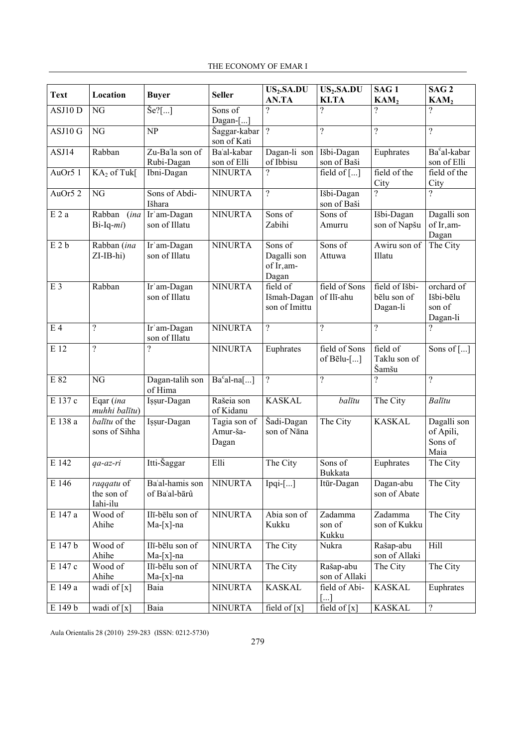| <b>Text</b>    | Location                             | <b>Buyer</b>                     | <b>Seller</b>                     | US <sub>2</sub> .SA.DU<br>AN.TA               | US <sub>2</sub> .SA.DU<br><b>KI.TA</b>         | SAG <sub>1</sub><br>KAM <sub>2</sub>      | SAG <sub>2</sub><br>KAM <sub>2</sub>          |
|----------------|--------------------------------------|----------------------------------|-----------------------------------|-----------------------------------------------|------------------------------------------------|-------------------------------------------|-----------------------------------------------|
| ASJ10 D        | NG                                   | $\text{Se}$ ?[]                  | Sons of<br>$Dagan$ []             | $\overline{\mathcal{C}}$                      | $\overline{?}$                                 | $\overline{\mathcal{C}}$                  | ?                                             |
| ASJ10G         | $\overline{\text{NG}}$               | $\overline{\text{NP}}$           | Šaggar-kabar<br>son of Kati       | $\overline{?}$                                | $\overline{?}$                                 | $\overline{?}$                            | $\overline{\mathcal{C}}$                      |
| ASJ14          | Rabban                               | Zu-Ba'la son of<br>Rubi-Dagan    | Ba'al-kabar<br>son of Elli        | Dagan-li son<br>of Ibbisu                     | Išbi-Dagan<br>son of Baši                      | Euphrates                                 | Ba <sup>c</sup> al-kabar<br>son of Elli       |
| AuOr51         | KA <sub>2</sub> of Tuk[              | Ibni-Dagan                       | <b>NINURTA</b>                    | $\gamma$                                      | field of []                                    | field of the<br>City                      | field of the<br>City                          |
| AuOr5 2        | NG                                   | Sons of Abdi-<br>Išhara          | <b>NINURTA</b>                    | $\overline{\mathcal{C}}$                      | Išbi-Dagan<br>son of Baši                      | ?                                         | ?                                             |
| E2a            | Rabban (ina<br>$Bi-Iq-mi)$           | Ir'am-Dagan<br>son of Illatu     | <b>NINURTA</b>                    | Sons of<br>Zabihi                             | Sons of<br>Amurru                              | Išbi-Dagan<br>son of Napšu                | Dagalli son<br>of Ir, am-<br>Dagan            |
| E2b            | Rabban (ina<br>ZI-IB-hi)             | Ir'am-Dagan<br>son of Illatu     | <b>NINURTA</b>                    | Sons of<br>Dagalli son<br>of Ir, am-<br>Dagan | Sons of<br>Attuwa                              | Awiru son of<br>Illatu                    | The City                                      |
| E <sub>3</sub> | Rabban                               | Ir'am-Dagan<br>son of Illatu     | <b>NINURTA</b>                    | field of<br>Išmah-Dagan<br>son of Imittu      | field of Sons<br>of Ilī-ahu                    | field of Išbi-<br>bēlu son of<br>Dagan-li | orchard of<br>Išbi-bēlu<br>son of<br>Dagan-li |
| E <sub>4</sub> | $\overline{\phantom{a}}$             | Ir'am-Dagan<br>son of Illatu     | <b>NINURTA</b>                    | $\overline{?}$                                | $\gamma$                                       | $\overline{?}$                            | $\overline{?}$                                |
| E 12           | $\gamma$                             | $\gamma$                         | <b>NINURTA</b>                    | Euphrates                                     | field of Sons<br>of Bēlu-[]                    | field of<br>Taklu son of<br>Šamšu         | Sons of []                                    |
| E 82           | NG                                   | Dagan-talih son<br>of Hima       | $Bacal-na$ []                     | $\overline{?}$                                | $\overline{?}$                                 | ?                                         | $\overline{\mathcal{L}}$                      |
| E 137 c        | Eqar (ina<br>muhhi balītu)           | Işşur-Dagan                      | Rašeia son<br>of Kidanu           | <b>KASKAL</b>                                 | balītu                                         | The City                                  | Balītu                                        |
| $E$ 138 a      | balītu of the<br>sons of Sihha       | Işşur-Dagan                      | Tagia son of<br>Amur-ša-<br>Dagan | Šadi-Dagan<br>son of Nāna                     | The City                                       | <b>KASKAL</b>                             | Dagalli son<br>of Apili,<br>Sons of<br>Maia   |
| E 142          | qa-az-ri                             | Itti-Šaggar                      | Elli                              | The City                                      | $\overline{\text{S}}$ ons of<br><b>Bukkata</b> | Euphrates                                 | The City                                      |
| E 146          | raqqatu of<br>the son of<br>Iahi-ilu | Ba'al-hamis son<br>of Ba'al-bārû | <b>NINURTA</b>                    | $Ipqi-[]$                                     | Itūr-Dagan                                     | Dagan-abu<br>son of Abate                 | The City                                      |
| E 147 a        | Wood of<br>Ahihe                     | Ilī-bēlu son of<br>$Ma-[x]$ -na  | <b>NINURTA</b>                    | Abia son of<br>Kukku                          | Zadamma<br>son of<br>Kukku                     | Zadamma<br>son of Kukku                   | The City                                      |
| E 147 b        | Wood of<br>Ahihe                     | Ilī-bēlu son of<br>$Ma-[x]$ -na  | <b>NINURTA</b>                    | The City                                      | Nukra                                          | Rašap-abu<br>son of Allaki                | Hill                                          |
| E 147 c        | Wood of<br>Ahihe                     | Ilī-bēlu son of<br>$Ma-[x]$ -na  | <b>NINURTA</b>                    | The City                                      | Rašap-abu<br>son of Allaki                     | The City                                  | The City                                      |
| E 149 a        | wadi of $[x]$                        | Baia                             | <b>NINURTA</b>                    | <b>KASKAL</b>                                 | field of Abi-<br>[]                            | <b>KASKAL</b>                             | Euphrates                                     |
| E 149 b        | wadi of [x]                          | Baia                             | <b>NINURTA</b>                    | field of [x]                                  | field of $[x]$                                 | <b>KASKAL</b>                             | $\boldsymbol{?}$                              |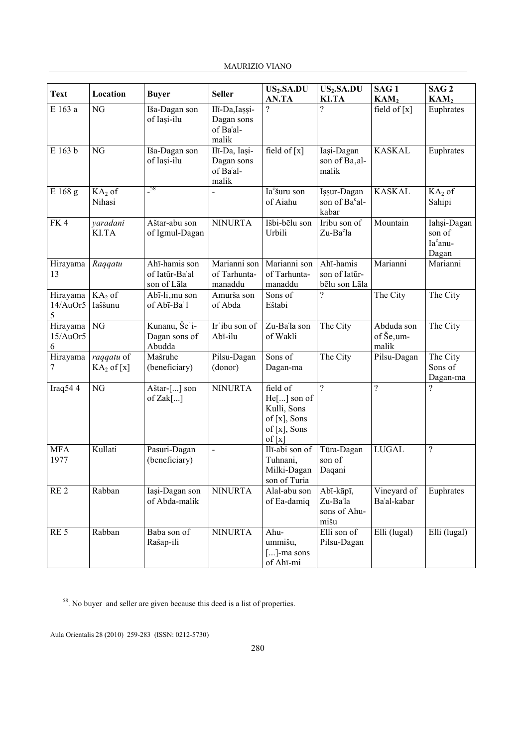| <b>Text</b>               | Location                       | <b>Buyer</b>                                   | <b>Seller</b>                                      | US <sub>2</sub> .SA.DU<br>AN.TA                                                     | US <sub>2</sub> .SA.DU<br><b>KI.TA</b>             | SAG <sub>1</sub><br>KAM <sub>2</sub> | SAG <sub>2</sub><br>KAM <sub>2</sub>                   |
|---------------------------|--------------------------------|------------------------------------------------|----------------------------------------------------|-------------------------------------------------------------------------------------|----------------------------------------------------|--------------------------------------|--------------------------------------------------------|
| E 163 a                   | $\overline{\text{NG}}$         | Iša-Dagan son<br>of Iași-ilu                   | Ilī-Da, Iașși-<br>Dagan sons<br>of Ba'al-<br>malik | ?                                                                                   | ?                                                  | field of $\lceil x \rceil$           | Euphrates                                              |
| E 163 b                   | NG                             | Iša-Dagan son<br>of Iași-ilu                   | Ilī-Da, Iași-<br>Dagan sons<br>of Ba'al-<br>malik  | field of $\lceil x \rceil$                                                          | Iași-Dagan<br>son of Ba, al-<br>malik              | <b>KASKAL</b>                        | Euphrates                                              |
| E 168 g                   | $K\overline{A_2}$ of<br>Nihasi | $\frac{58}{1}$                                 |                                                    | Ia <sup>c</sup> šuru son<br>of Aiahu                                                | Issur-Dagan<br>son of Ba <sup>c</sup> al-<br>kabar | <b>KASKAL</b>                        | $KA2$ of<br>Sahipi                                     |
| FK4                       | yaradani<br>KI.TA              | Aštar-abu son<br>of Igmul-Dagan                | <b>NINURTA</b>                                     | Išbi-bēlu son<br>Urbili                                                             | Iribu son of<br>Zu-Ba <sup>c</sup> la              | Mountain                             | Iahsi-Dagan<br>son of<br>Ia <sup>c</sup> anu-<br>Dagan |
| Hirayama<br>13            | Raqqatu                        | Ahī-hamis son<br>of Iatūr-Ba'al<br>son of Lāla | Marianni son<br>of Tarhunta-<br>manaddu            | Marianni son<br>of Tarhunta-<br>manaddu                                             | Ahī-hamis<br>son of Iatūr-<br>bēlu son Lāla        | Marianni                             | Marianni                                               |
| Hirayama<br>14/AuOr5<br>5 | $KA2$ of<br>Iaššunu            | Abī-li, mu son<br>of Abī-Ba'l                  | Amurša son<br>of Abda                              | Sons of<br>Eštabi                                                                   | $\overline{\mathcal{C}}$                           | The City                             | The City                                               |
| Hirayama<br>15/AuOr5<br>6 | NG                             | Kunanu, Še'i-<br>Dagan sons of<br>Abudda       | $\overline{\text{Ir}}$ ibu son of<br>Abī-ilu       | Zu-Ba'la son<br>of Wakli                                                            | The City                                           | Abduda son<br>of Še, um-<br>malik    | The City                                               |
| Hirayama<br>7             | raqqatu of<br>$KA2$ of [x]     | Mašruhe<br>(beneficiary)                       | Pilsu-Dagan<br>(donor)                             | Sons of<br>Dagan-ma                                                                 | The City                                           | Pilsu-Dagan                          | The City<br>Sons of<br>Dagan-ma                        |
| Iraq544                   | NG                             | Aštar-[] son<br>of $Zak$ []                    | <b>NINURTA</b>                                     | field of<br>He[] son of<br>Kulli, Sons<br>of $[x]$ , Sons<br>of [x], Sons<br>of [x] | $\gamma$                                           | $\overline{?}$                       | $\overline{\mathcal{L}}$                               |
| <b>MFA</b><br>1977        | Kullati                        | Pasuri-Dagan<br>(beneficiary)                  | $\overline{\phantom{a}}$                           | Ilī-abi son of<br>Tuhnani,<br>Milki-Dagan<br>son of Turia                           | Tūra-Dagan<br>son of<br>Daqani                     | <b>LUGAL</b>                         | $\overline{\mathcal{L}}$                               |
| RE <sub>2</sub>           | Rabban                         | Iași-Dagan son<br>of Abda-malik                | <b>NINURTA</b>                                     | Alal-abu son<br>of Ea-damiq                                                         | Abī-kāpī,<br>Zu-Ba'la<br>sons of Ahu-<br>mišu      | Vineyard of<br>Ba'al-kabar           | Euphrates                                              |
| RE <sub>5</sub>           | Rabban                         | Baba son of<br>Rašap-ili                       | <b>NINURTA</b>                                     | Ahu-<br>ummišu,<br>$[]$ -ma sons<br>of Ahī-mi                                       | Elli son of<br>Pilsu-Dagan                         | Elli (lugal)                         | Elli (lugal)                                           |

<sup>58</sup>. No buyer and seller are given because this deed is a list of properties.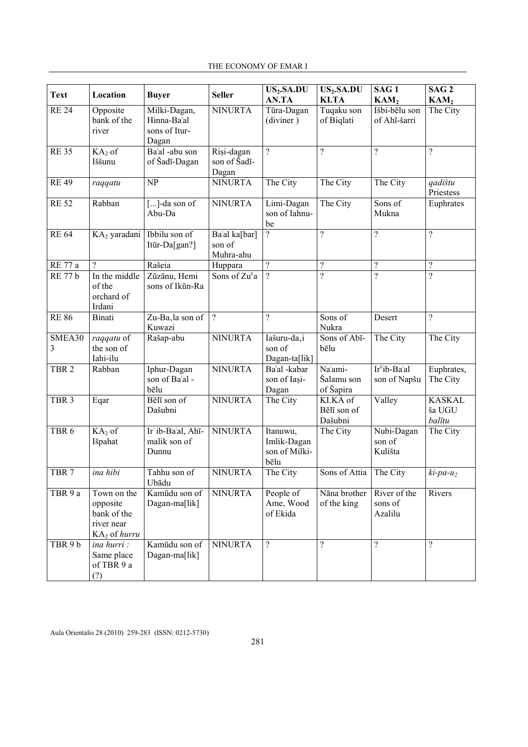| THE ECONOMY OF EMAR I |  |
|-----------------------|--|
|-----------------------|--|

| <b>Text</b>      | Location                                                               | <b>Buyer</b>                                          | <b>Seller</b>                                           | $\overline{\text{US}_2.\text{SA.DU}}$<br>AN.TA   | US <sub>2</sub> .SA.DU<br>KI.TA    | SAG <sub>1</sub><br>KAM <sub>2</sub>     | SAG <sub>2</sub><br>KAM <sub>2</sub> |
|------------------|------------------------------------------------------------------------|-------------------------------------------------------|---------------------------------------------------------|--------------------------------------------------|------------------------------------|------------------------------------------|--------------------------------------|
| <b>RE 24</b>     | Opposite<br>bank of the<br>river                                       | Milki-Dagan,<br>Hinna-Ba'al<br>sons of Itur-<br>Dagan | <b>NINURTA</b>                                          | Tūra-Dagan<br>(diviner)                          | Tuqaku son<br>of Biqlati           | Išbi-bēlu son<br>of Ahī-šarri            | The City                             |
| <b>RE35</b>      | $KA2$ of<br>Iššunu                                                     | Ba'al -abu son<br>of Šadī-Dagan                       | Rişi-dagan<br>son of Šadī-<br>Dagan                     | $\overline{?}$                                   | $\overline{?}$                     | $\overline{?}$                           | $\gamma$                             |
| <b>RE 49</b>     | raqqatu                                                                | NP                                                    | <b>NINURTA</b>                                          | The City                                         | The City                           | The City                                 | qadištu<br>Priestess                 |
| <b>RE 52</b>     | Rabban                                                                 | []-da son of<br>Abu-Da                                | <b>NINURTA</b>                                          | Limi-Dagan<br>son of Iahnu-<br>be                | The City                           | Sons of<br>Mukna                         | Euphrates                            |
| <b>RE 64</b>     | KA2 yaradani                                                           | Ibbilu son of<br>Itūr-Da[gan?]                        | Ba'al ka[bar]<br>son of<br>Muhra-ahu                    | $\overline{?}$                                   | $\overline{?}$                     | $\overline{?}$                           | $\overline{\mathcal{L}}$             |
| RE 77 a          | $\gamma$                                                               | Rašeia                                                | Huppara                                                 | $\overline{?}$                                   | $\boldsymbol{?}$                   | $\overline{?}$                           | $\overline{\mathcal{C}}$             |
| <b>RE 77 b</b>   | In the middle<br>of the<br>orchard of<br>Irdani                        | Zūzānu, Hemi<br>sons of Ikūn-Ra                       | Sons of $\overline{\mathrm{Zu}^{\mathrm{c}}\mathrm{a}}$ | $\overline{?}$                                   | $\overline{?}$                     | $\overline{2}$                           | $\overline{?}$                       |
| <b>RE 86</b>     | Binati                                                                 | Zu-Ba, la son of<br>Kuwazi                            | $\overline{?}$                                          | $\gamma$                                         | Sons of<br>Nukra                   | Desert                                   | $\gamma$                             |
| SMEA30<br>3      | raqqatu of<br>the son of<br>Iahi-ilu                                   | Rašap-abu                                             | <b>NINURTA</b>                                          | Iašuru-da,i<br>son of<br>Dagan-ta[lik]           | Sons of Abī-<br>bēlu               | The City                                 | The City                             |
| TBR <sub>2</sub> | Rabban                                                                 | Iphur-Dagan<br>son of Ba'al -<br>bēlu                 | <b>NINURTA</b>                                          | Ba'al -kabar<br>son of Iasi-<br>Dagan            | Na'ami-<br>Šalamu son<br>of Šapira | Ir <sup>c</sup> ib-Ba'al<br>son of Napšu | Euphrates,<br>The City               |
| TBR <sub>3</sub> | Eqar                                                                   | Bēlī son of<br>Dašubni                                | <b>NINURTA</b>                                          | The City                                         | KI.KÁ of<br>Bēlī son of<br>Dašubni | Valley                                   | <b>KASKAL</b><br>ša UGU<br>balītu    |
| TBR <sub>6</sub> | $KA2$ of<br>Išpahat                                                    | Ir'ib-Ba'al, Ahī-<br>malik son of<br>Dunnu            | <b>NINURTA</b>                                          | Itanuwu,<br>Imlik-Dagan<br>son of Milki-<br>bēlu | The City                           | Nubi-Dagan<br>son of<br>Kulišta          | The City                             |
| TBR <sub>7</sub> | ina hibi                                                               | Tahhu son of<br>Ubādu                                 | <b>NINURTA</b>                                          | The City                                         | Sons of Attia The City             |                                          | $ki$ -pa- $u_2$                      |
| TBR 9 a          | Town on the<br>opposite<br>bank of the<br>river near<br>$KA2$ of hurru | Kamūdu son of<br>Dagan-ma[lik]                        | <b>NINURTA</b>                                          | People of<br>Ame, Wood<br>of Ekida               | Nāna brother<br>of the king        | River of the<br>sons of<br>Azalilu       | Rivers                               |
| TBR 9b           | ina hurri:<br>Same place<br>of TBR 9 a<br>(?)                          | Kamūdu son of<br>Dagan-ma[lik]                        | <b>NINURTA</b>                                          | $\overline{?}$                                   | $\overline{?}$                     | $\overline{?}$                           | $\gamma$                             |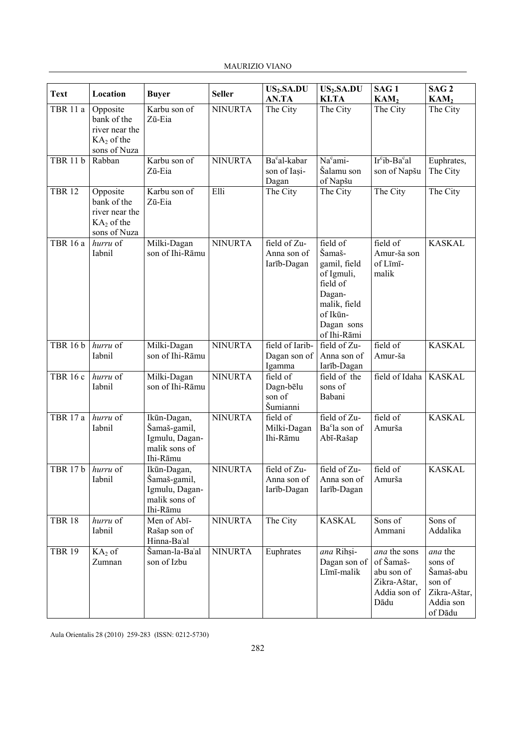| <b>Text</b>     | Location                                                                  | <b>Buyer</b>                                                               | <b>Seller</b>  | US <sub>2</sub> .SA.DU<br>AN.TA                   | US <sub>2</sub> .SA.DU<br><b>KI.TA</b>                                                                                          | SAG <sub>1</sub><br>KAM <sub>2</sub>                                            | SAG <sub>2</sub><br>KAM <sub>2</sub>                                              |
|-----------------|---------------------------------------------------------------------------|----------------------------------------------------------------------------|----------------|---------------------------------------------------|---------------------------------------------------------------------------------------------------------------------------------|---------------------------------------------------------------------------------|-----------------------------------------------------------------------------------|
| TBR 11 a        | Opposite<br>bank of the<br>river near the<br>$KA2$ of the<br>sons of Nuza | Karbu son of<br>Zū-Eia                                                     | <b>NINURTA</b> | The City                                          | The City                                                                                                                        | The City                                                                        | The City                                                                          |
| <b>TBR 11 b</b> | Rabban                                                                    | Karbu son of<br>Zū-Eia                                                     | <b>NINURTA</b> | Ba <sup>c</sup> al-kabar<br>son of Iasi-<br>Dagan | Na <sup>c</sup> ami-<br>Šalamu son<br>of Napšu                                                                                  | $Ircib-Bacal$<br>son of Napšu                                                   | Euphrates,<br>The City                                                            |
| <b>TBR 12</b>   | Opposite<br>bank of the<br>river near the<br>$KA2$ of the<br>sons of Nuza | Karbu son of<br>Zū-Eia                                                     | Elli           | The City                                          | The City                                                                                                                        | The City                                                                        | The City                                                                          |
| <b>TBR 16 a</b> | hurru of<br>Iabnil                                                        | Milki-Dagan<br>son of Ihi-Rāmu                                             | <b>NINURTA</b> | field of Zu-<br>Anna son of<br>Iarīb-Dagan        | field of<br>Šamaš-<br>gamil, field<br>of Igmuli,<br>field of<br>Dagan-<br>malik, field<br>of Ikūn-<br>Dagan sons<br>of Ihi-Rāmi | field of<br>Amur-ša son<br>of Līmī-<br>malik                                    | <b>KASKAL</b>                                                                     |
| <b>TBR 16 b</b> | hurru of<br>Iabnil                                                        | Milki-Dagan<br>son of Ihi-Rāmu                                             | <b>NINURTA</b> | field of Iarib-<br>Dagan son of<br>Igamma         | field of Zu-<br>Anna son of<br>Iarīb-Dagan                                                                                      | field of<br>Amur-ša                                                             | <b>KASKAL</b>                                                                     |
| TBR 16 c        | hurru of<br>Iabnil                                                        | Milki-Dagan<br>son of Ihi-Rāmu                                             | <b>NINURTA</b> | field of<br>Dagn-bēlu<br>son of<br>Šumianni       | field of the<br>sons of<br>Babani                                                                                               | field of Idaha                                                                  | <b>KASKAL</b>                                                                     |
| <b>TBR 17 a</b> | hurru of<br>Iabnil                                                        | Ikūn-Dagan,<br>Šamaš-gamil,<br>Igmulu, Dagan-<br>malik sons of<br>Ihi-Rāmu | <b>NINURTA</b> | field of<br>Milki-Dagan<br>Ihi-Rāmu               | field of Zu-<br>Ba°la son of<br>Abī-Rašap                                                                                       | field of<br>Amurša                                                              | <b>KASKAL</b>                                                                     |
| <b>TBR 17 b</b> | hurru of<br>Iabnil                                                        | Ikūn-Dagan,<br>Šamaš-gamil,<br>Igmulu, Dagan-<br>malik sons of<br>Ihi-Rāmu | <b>NINURTA</b> | field of Zu-<br>Anna son of<br>Iarīb-Dagan        | field of Zu-<br>Anna son of<br>Iarīb-Dagan                                                                                      | field of<br>Amurša                                                              | <b>KASKAL</b>                                                                     |
| <b>TBR 18</b>   | hurru of<br>Iabnil                                                        | Men of Abi-<br>Rašap son of<br>Hinna-Ba'al                                 | <b>NINURTA</b> | The City                                          | <b>KASKAL</b>                                                                                                                   | Sons of<br>Ammani                                                               | Sons of<br>Addalika                                                               |
| <b>TBR 19</b>   | $KA2$ of<br>Zumnan                                                        | Šaman-la-Baʿal<br>son of Izbu                                              | <b>NINURTA</b> | Euphrates                                         | ana Rihși-<br>Dagan son of<br>Līmī-malik                                                                                        | ana the sons<br>of Šamaš-<br>abu son of<br>Zikra-Aštar,<br>Addia son of<br>Dādu | ana the<br>sons of<br>Šamaš-abu<br>son of<br>Zikra-Aštar,<br>Addia son<br>of Dādu |